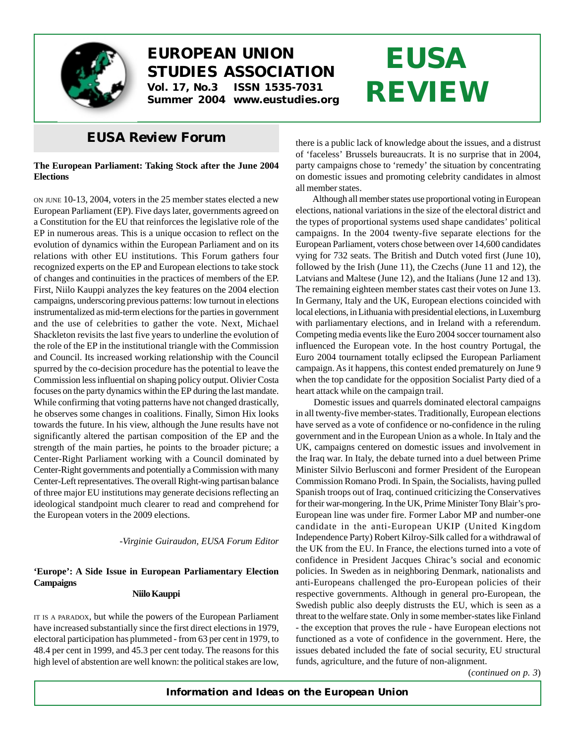

# **EUROPEAN UNION STUDIES ASSOCIATION Vol. 17, No.3 ISSN 1535-7031**

**Summer 2004 www.eustudies.org**

# *EUSA Review* **Forum**

### **The European Parliament: Taking Stock after the June 2004 Elections**

ON JUNE 10-13, 2004, voters in the 25 member states elected a new European Parliament (EP). Five days later, governments agreed on a Constitution for the EU that reinforces the legislative role of the EP in numerous areas. This is a unique occasion to reflect on the evolution of dynamics within the European Parliament and on its relations with other EU institutions. This Forum gathers four recognized experts on the EP and European elections to take stock of changes and continuities in the practices of members of the EP. First, Niilo Kauppi analyzes the key features on the 2004 election campaigns, underscoring previous patterns: low turnout in elections instrumentalized as mid-term elections for the parties in government and the use of celebrities to gather the vote. Next, Michael Shackleton revisits the last five years to underline the evolution of the role of the EP in the institutional triangle with the Commission and Council. Its increased working relationship with the Council spurred by the co-decision procedure has the potential to leave the Commission less influential on shaping policy output. Olivier Costa focuses on the party dynamics within the EP during the last mandate. While confirming that voting patterns have not changed drastically, he observes some changes in coalitions. Finally, Simon Hix looks towards the future. In his view, although the June results have not significantly altered the partisan composition of the EP and the strength of the main parties, he points to the broader picture; a Center-Right Parliament working with a Council dominated by Center-Right governments and potentially a Commission with many Center-Left representatives. The overall Right-wing partisan balance of three major EU institutions may generate decisions reflecting an ideological standpoint much clearer to read and comprehend for the European voters in the 2009 elections.

*-Virginie Guiraudon, EUSA Forum Editor*

## **'Europe': A Side Issue in European Parliamentary Election Campaigns**

#### **Niilo Kauppi**

IT IS <sup>A</sup> PARADOX, but while the powers of the European Parliament have increased substantially since the first direct elections in 1979, electoral participation has plummeted - from 63 per cent in 1979, to 48.4 per cent in 1999, and 45.3 per cent today. The reasons for this high level of abstention are well known: the political stakes are low, there is a public lack of knowledge about the issues, and a distrust of 'faceless' Brussels bureaucrats. It is no surprise that in 2004, party campaigns chose to 'remedy' the situation by concentrating on domestic issues and promoting celebrity candidates in almost all member states.

**EUSA**

**REVIEW**

Although all member states use proportional voting in European elections, national variations in the size of the electoral district and the types of proportional systems used shape candidates' political campaigns. In the 2004 twenty-five separate elections for the European Parliament, voters chose between over 14,600 candidates vying for 732 seats. The British and Dutch voted first (June 10), followed by the Irish (June 11), the Czechs (June 11 and 12), the Latvians and Maltese (June 12), and the Italians (June 12 and 13). The remaining eighteen member states cast their votes on June 13. In Germany, Italy and the UK, European elections coincided with local elections, in Lithuania with presidential elections, in Luxemburg with parliamentary elections, and in Ireland with a referendum. Competing media events like the Euro 2004 soccer tournament also influenced the European vote. In the host country Portugal, the Euro 2004 tournament totally eclipsed the European Parliament campaign. As it happens, this contest ended prematurely on June 9 when the top candidate for the opposition Socialist Party died of a heart attack while on the campaign trail.

Domestic issues and quarrels dominated electoral campaigns in all twenty-five member-states. Traditionally, European elections have served as a vote of confidence or no-confidence in the ruling government and in the European Union as a whole. In Italy and the UK, campaigns centered on domestic issues and involvement in the Iraq war. In Italy, the debate turned into a duel between Prime Minister Silvio Berlusconi and former President of the European Commission Romano Prodi. In Spain, the Socialists, having pulled Spanish troops out of Iraq, continued criticizing the Conservatives for their war-mongering. In the UK, Prime Minister Tony Blair's pro-European line was under fire. Former Labor MP and number-one candidate in the anti-European UKIP (United Kingdom Independence Party) Robert Kilroy-Silk called for a withdrawal of the UK from the EU. In France, the elections turned into a vote of confidence in President Jacques Chirac's social and economic policies. In Sweden as in neighboring Denmark, nationalists and anti-Europeans challenged the pro-European policies of their respective governments. Although in general pro-European, the Swedish public also deeply distrusts the EU, which is seen as a threat to the welfare state. Only in some member-states like Finland - the exception that proves the rule - have European elections not functioned as a vote of confidence in the government. Here, the issues debated included the fate of social security, EU structural funds, agriculture, and the future of non-alignment.

(*continued on p. 3*)

*Information and Ideas on the European Union*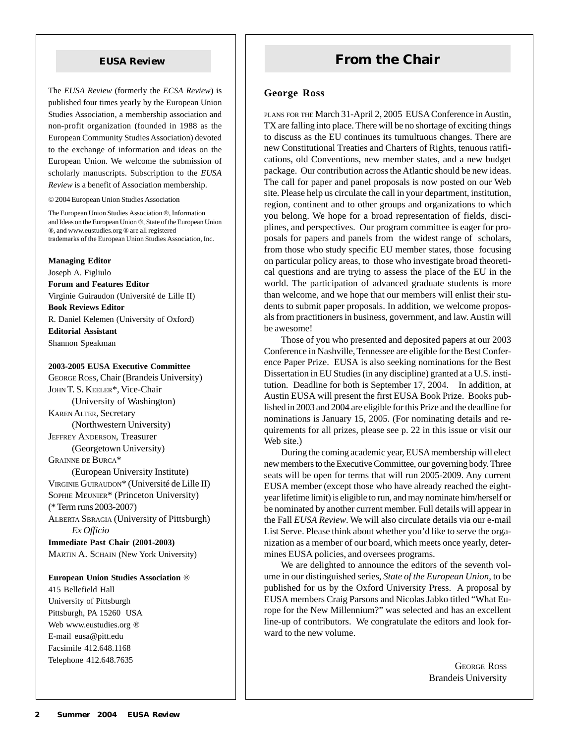The *EUSA Review* (formerly the *ECSA Review*) is published four times yearly by the European Union Studies Association, a membership association and non-profit organization (founded in 1988 as the European Community Studies Association) devoted to the exchange of information and ideas on the European Union. We welcome the submission of scholarly manuscripts. Subscription to the *EUSA Review* is a benefit of Association membership.

© 2004 European Union Studies Association

The European Union Studies Association ®, Information and Ideas on the European Union ®, State of the European Union ®, and www.eustudies.org ® are all registered trademarks of the European Union Studies Association, Inc.

#### **Managing Editor**

Joseph A. Figliulo

**Forum and Features Editor** Virginie Guiraudon (Université de Lille II)

**Book Reviews Editor**

R. Daniel Kelemen (University of Oxford) **Editorial Assistant**

Shannon Speakman

#### **2003-2005 EUSA Executive Committee**

GEORGE ROSS, Chair (Brandeis University) JOHN T. S. KEELER\*, Vice-Chair (University of Washington) KAREN ALTER, Secretary (Northwestern University) JEFFREY ANDERSON, Treasurer (Georgetown University) GRAINNE DE BURCA\* (European University Institute) VIRGINIE GUIRAUDON\* (Université de Lille II) SOPHIE MEUNIER\* (Princeton University) (\* Term runs 2003-2007) ALBERTA SBRAGIA (University of Pittsburgh) *Ex Officio*

**Immediate Past Chair (2001-2003)** MARTIN A. SCHAIN (New York University)

#### **European Union Studies Association** ®

415 Bellefield Hall University of Pittsburgh Pittsburgh, PA 15260 USA Web www.eustudies.org ® E-mail eusa@pitt.edu Facsimile 412.648.1168 Telephone 412.648.7635

# **EUSA Review <b>From the Chair**

#### **George Ross**

PLANS FOR THE March 31-April 2, 2005 EUSA Conference in Austin, TX are falling into place. There will be no shortage of exciting things to discuss as the EU continues its tumultuous changes. There are new Constitutional Treaties and Charters of Rights, tenuous ratifications, old Conventions, new member states, and a new budget package. Our contribution across the Atlantic should be new ideas. The call for paper and panel proposals is now posted on our Web site. Please help us circulate the call in your department, institution, region, continent and to other groups and organizations to which you belong. We hope for a broad representation of fields, disciplines, and perspectives. Our program committee is eager for proposals for papers and panels from the widest range of scholars, from those who study specific EU member states, those focusing on particular policy areas, to those who investigate broad theoretical questions and are trying to assess the place of the EU in the world. The participation of advanced graduate students is more than welcome, and we hope that our members will enlist their students to submit paper proposals. In addition, we welcome proposals from practitioners in business, government, and law. Austin will be awesome!

Those of you who presented and deposited papers at our 2003 Conference in Nashville, Tennessee are eligible for the Best Conference Paper Prize. EUSA is also seeking nominations for the Best Dissertation in EU Studies (in any discipline) granted at a U.S. institution. Deadline for both is September 17, 2004. In addition, at Austin EUSA will present the first EUSA Book Prize. Books published in 2003 and 2004 are eligible for this Prize and the deadline for nominations is January 15, 2005. (For nominating details and requirements for all prizes, please see p. 22 in this issue or visit our Web site.)

During the coming academic year, EUSA membership will elect new members to the Executive Committee, our governing body. Three seats will be open for terms that will run 2005-2009. Any current EUSA member (except those who have already reached the eightyear lifetime limit) is eligible to run, and may nominate him/herself or be nominated by another current member. Full details will appear in the Fall *EUSA Review*. We will also circulate details via our e-mail List Serve. Please think about whether you'd like to serve the organization as a member of our board, which meets once yearly, determines EUSA policies, and oversees programs.

We are delighted to announce the editors of the seventh volume in our distinguished series, *State of the European Union*, to be published for us by the Oxford University Press. A proposal by EUSA members Craig Parsons and Nicolas Jabko titled "What Europe for the New Millennium?" was selected and has an excellent line-up of contributors. We congratulate the editors and look forward to the new volume.

> GEORGE ROSS Brandeis University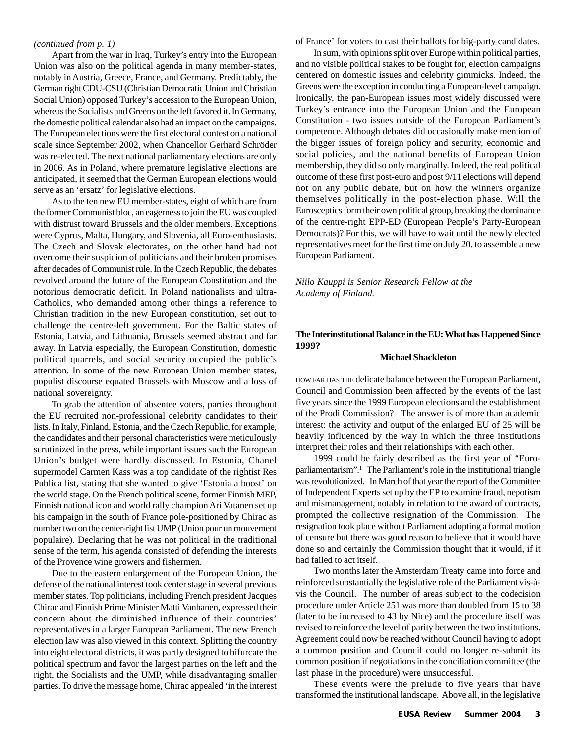#### *(continued from p. 1)*

Apart from the war in Iraq, Turkey's entry into the European Union was also on the political agenda in many member-states, notably in Austria, Greece, France, and Germany. Predictably, the German right CDU-CSU (Christian Democratic Union and Christian Social Union) opposed Turkey's accession to the European Union, whereas the Socialists and Greens on the left favored it. In Germany, the domestic political calendar also had an impact on the campaigns. The European elections were the first electoral contest on a national scale since September 2002, when Chancellor Gerhard Schröder was re-elected. The next national parliamentary elections are only in 2006. As in Poland, where premature legislative elections are anticipated, it seemed that the German European elections would serve as an 'ersatz' for legislative elections.

As to the ten new EU member-states, eight of which are from the former Communist bloc, an eagerness to join the EU was coupled with distrust toward Brussels and the older members. Exceptions were Cyprus, Malta, Hungary, and Slovenia, all Euro-enthusiasts. The Czech and Slovak electorates, on the other hand had not overcome their suspicion of politicians and their broken promises after decades of Communist rule. In the Czech Republic, the debates revolved around the future of the European Constitution and the notorious democratic deficit. In Poland nationalists and ultra-Catholics, who demanded among other things a reference to Christian tradition in the new European constitution, set out to challenge the centre-left government. For the Baltic states of Estonia, Latvia, and Lithuania, Brussels seemed abstract and far away. In Latvia especially, the European Constitution, domestic political quarrels, and social security occupied the public's attention. In some of the new European Union member states, populist discourse equated Brussels with Moscow and a loss of national sovereignty.

To grab the attention of absentee voters, parties throughout the EU recruited non-professional celebrity candidates to their lists. In Italy, Finland, Estonia, and the Czech Republic, for example, the candidates and their personal characteristics were meticulously scrutinized in the press, while important issues such the European Union's budget were hardly discussed. In Estonia, Chanel supermodel Carmen Kass was a top candidate of the rightist Res Publica list, stating that she wanted to give 'Estonia a boost' on the world stage. On the French political scene, former Finnish MEP, Finnish national icon and world rally champion Ari Vatanen set up his campaign in the south of France pole-positioned by Chirac as number two on the center-right list UMP (Union pour un mouvement populaire). Declaring that he was not political in the traditional sense of the term, his agenda consisted of defending the interests of the Provence wine growers and fishermen.

Due to the eastern enlargement of the European Union, the defense of the national interest took center stage in several previous member states. Top politicians, including French president Jacques Chirac and Finnish Prime Minister Matti Vanhanen, expressed their concern about the diminished influence of their countries' representatives in a larger European Parliament. The new French election law was also viewed in this context. Splitting the country into eight electoral districts, it was partly designed to bifurcate the political spectrum and favor the largest parties on the left and the right, the Socialists and the UMP, while disadvantaging smaller parties. To drive the message home, Chirac appealed 'in the interest

of France' for voters to cast their ballots for big-party candidates.

In sum, with opinions split over Europe within political parties, and no visible political stakes to be fought for, election campaigns centered on domestic issues and celebrity gimmicks. Indeed, the Greens were the exception in conducting a European-level campaign. Ironically, the pan-European issues most widely discussed were Turkey's entrance into the European Union and the European Constitution - two issues outside of the European Parliament's competence. Although debates did occasionally make mention of the bigger issues of foreign policy and security, economic and social policies, and the national benefits of European Union membership, they did so only marginally. Indeed, the real political outcome of these first post-euro and post 9/11 elections will depend not on any public debate, but on how the winners organize themselves politically in the post-election phase. Will the Eurosceptics form their own political group, breaking the dominance of the centre-right EPP-ED (European People's Party-European Democrats)? For this, we will have to wait until the newly elected representatives meet for the first time on July 20, to assemble a new European Parliament.

*Niilo Kauppi is Senior Research Fellow at the Academy of Finland.*

#### **The Interinstitutional Balance in the EU: What has Happened Since 1999?**

#### **Michael Shackleton**

HOW FAR HAS THE delicate balance between the European Parliament, Council and Commission been affected by the events of the last five years since the 1999 European elections and the establishment of the Prodi Commission? The answer is of more than academic interest: the activity and output of the enlarged EU of 25 will be heavily influenced by the way in which the three institutions interpret their roles and their relationships with each other.

1999 could be fairly described as the first year of "Europarliamentarism".<sup>1</sup> The Parliament's role in the institutional triangle was revolutionized. In March of that year the report of the Committee of Independent Experts set up by the EP to examine fraud, nepotism and mismanagement, notably in relation to the award of contracts, prompted the collective resignation of the Commission. The resignation took place without Parliament adopting a formal motion of censure but there was good reason to believe that it would have done so and certainly the Commission thought that it would, if it had failed to act itself.

Two months later the Amsterdam Treaty came into force and reinforced substantially the legislative role of the Parliament vis-àvis the Council. The number of areas subject to the codecision procedure under Article 251 was more than doubled from 15 to 38 (later to be increased to 43 by Nice) and the procedure itself was revised to reinforce the level of parity between the two institutions. Agreement could now be reached without Council having to adopt a common position and Council could no longer re-submit its common position if negotiations in the conciliation committee (the last phase in the procedure) were unsuccessful.

These events were the prelude to five years that have transformed the institutional landscape. Above all, in the legislative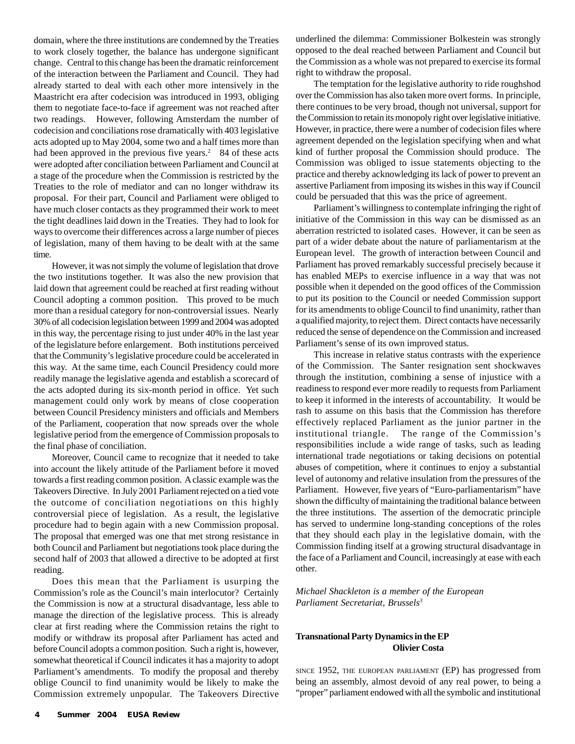domain, where the three institutions are condemned by the Treaties to work closely together, the balance has undergone significant change. Central to this change has been the dramatic reinforcement of the interaction between the Parliament and Council. They had already started to deal with each other more intensively in the Maastricht era after codecision was introduced in 1993, obliging them to negotiate face-to-face if agreement was not reached after two readings. However, following Amsterdam the number of codecision and conciliations rose dramatically with 403 legislative acts adopted up to May 2004, some two and a half times more than had been approved in the previous five years.<sup>2</sup> 84 of these acts were adopted after conciliation between Parliament and Council at a stage of the procedure when the Commission is restricted by the Treaties to the role of mediator and can no longer withdraw its proposal. For their part, Council and Parliament were obliged to have much closer contacts as they programmed their work to meet the tight deadlines laid down in the Treaties. They had to look for ways to overcome their differences across a large number of pieces of legislation, many of them having to be dealt with at the same time.

However, it was not simply the volume of legislation that drove the two institutions together. It was also the new provision that laid down that agreement could be reached at first reading without Council adopting a common position. This proved to be much more than a residual category for non-controversial issues. Nearly 30% of all codecision legislation between 1999 and 2004 was adopted in this way, the percentage rising to just under 40% in the last year of the legislature before enlargement. Both institutions perceived that the Community's legislative procedure could be accelerated in this way. At the same time, each Council Presidency could more readily manage the legislative agenda and establish a scorecard of the acts adopted during its six-month period in office. Yet such management could only work by means of close cooperation between Council Presidency ministers and officials and Members of the Parliament, cooperation that now spreads over the whole legislative period from the emergence of Commission proposals to the final phase of conciliation.

Moreover, Council came to recognize that it needed to take into account the likely attitude of the Parliament before it moved towards a first reading common position. A classic example was the Takeovers Directive. In July 2001 Parliament rejected on a tied vote the outcome of conciliation negotiations on this highly controversial piece of legislation. As a result, the legislative procedure had to begin again with a new Commission proposal. The proposal that emerged was one that met strong resistance in both Council and Parliament but negotiations took place during the second half of 2003 that allowed a directive to be adopted at first reading.

Does this mean that the Parliament is usurping the Commission's role as the Council's main interlocutor? Certainly the Commission is now at a structural disadvantage, less able to manage the direction of the legislative process. This is already clear at first reading where the Commission retains the right to modify or withdraw its proposal after Parliament has acted and before Council adopts a common position. Such a right is, however, somewhat theoretical if Council indicates it has a majority to adopt Parliament's amendments. To modify the proposal and thereby oblige Council to find unanimity would be likely to make the Commission extremely unpopular. The Takeovers Directive underlined the dilemma: Commissioner Bolkestein was strongly opposed to the deal reached between Parliament and Council but the Commission as a whole was not prepared to exercise its formal right to withdraw the proposal.

The temptation for the legislative authority to ride roughshod over the Commission has also taken more overt forms. In principle, there continues to be very broad, though not universal, support for the Commission to retain its monopoly right over legislative initiative. However, in practice, there were a number of codecision files where agreement depended on the legislation specifying when and what kind of further proposal the Commission should produce. The Commission was obliged to issue statements objecting to the practice and thereby acknowledging its lack of power to prevent an assertive Parliament from imposing its wishes in this way if Council could be persuaded that this was the price of agreement.

Parliament's willingness to contemplate infringing the right of initiative of the Commission in this way can be dismissed as an aberration restricted to isolated cases. However, it can be seen as part of a wider debate about the nature of parliamentarism at the European level. The growth of interaction between Council and Parliament has proved remarkably successful precisely because it has enabled MEPs to exercise influence in a way that was not possible when it depended on the good offices of the Commission to put its position to the Council or needed Commission support for its amendments to oblige Council to find unanimity, rather than a qualified majority, to reject them. Direct contacts have necessarily reduced the sense of dependence on the Commission and increased Parliament's sense of its own improved status.

This increase in relative status contrasts with the experience of the Commission. The Santer resignation sent shockwaves through the institution, combining a sense of injustice with a readiness to respond ever more readily to requests from Parliament to keep it informed in the interests of accountability. It would be rash to assume on this basis that the Commission has therefore effectively replaced Parliament as the junior partner in the institutional triangle. The range of the Commission's responsibilities include a wide range of tasks, such as leading international trade negotiations or taking decisions on potential abuses of competition, where it continues to enjoy a substantial level of autonomy and relative insulation from the pressures of the Parliament. However, five years of "Euro-parliamentarism" have shown the difficulty of maintaining the traditional balance between the three institutions. The assertion of the democratic principle has served to undermine long-standing conceptions of the roles that they should each play in the legislative domain, with the Commission finding itself at a growing structural disadvantage in the face of a Parliament and Council, increasingly at ease with each other.

*Michael Shackleton is a member of the European Parliament Secretariat, Brussels3*

#### **Transnational Party Dynamics in the EP Olivier Costa**

SINCE 1952, THE EUROPEAN PARLIAMENT (EP) has progressed from being an assembly, almost devoid of any real power, to being a "proper" parliament endowed with all the symbolic and institutional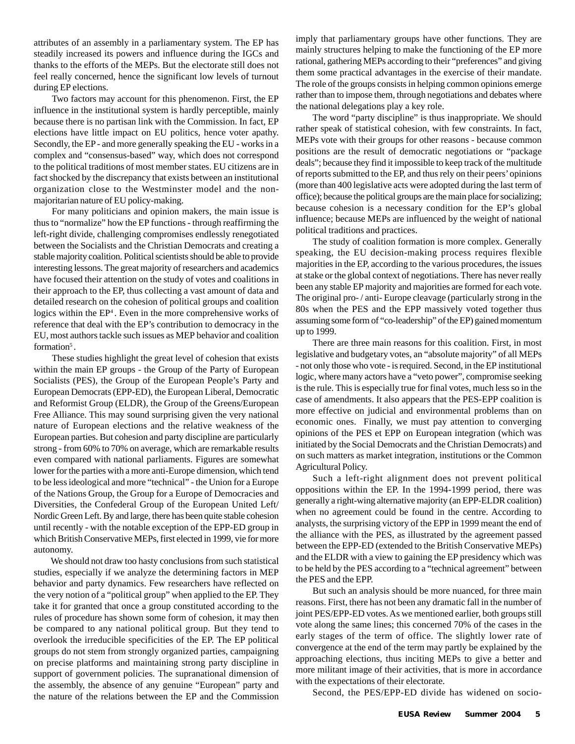attributes of an assembly in a parliamentary system. The EP has steadily increased its powers and influence during the IGCs and thanks to the efforts of the MEPs. But the electorate still does not feel really concerned, hence the significant low levels of turnout during EP elections.

Two factors may account for this phenomenon. First, the EP influence in the institutional system is hardly perceptible, mainly because there is no partisan link with the Commission. In fact, EP elections have little impact on EU politics, hence voter apathy. Secondly, the EP - and more generally speaking the EU - works in a complex and "consensus-based" way, which does not correspond to the political traditions of most member states. EU citizens are in fact shocked by the discrepancy that exists between an institutional organization close to the Westminster model and the nonmajoritarian nature of EU policy-making.

For many politicians and opinion makers, the main issue is thus to "normalize" how the EP functions - through reaffirming the left-right divide, challenging compromises endlessly renegotiated between the Socialists and the Christian Democrats and creating a stable majority coalition. Political scientists should be able to provide interesting lessons. The great majority of researchers and academics have focused their attention on the study of votes and coalitions in their approach to the EP, thus collecting a vast amount of data and detailed research on the cohesion of political groups and coalition logics within the EP<sup>4</sup>. Even in the more comprehensive works of reference that deal with the EP's contribution to democracy in the EU, most authors tackle such issues as MEP behavior and coalition formation<sup>5</sup>.

These studies highlight the great level of cohesion that exists within the main EP groups - the Group of the Party of European Socialists (PES), the Group of the European People's Party and European Democrats (EPP-ED), the European Liberal, Democratic and Reformist Group (ELDR), the Group of the Greens/European Free Alliance. This may sound surprising given the very national nature of European elections and the relative weakness of the European parties. But cohesion and party discipline are particularly strong - from 60% to 70% on average, which are remarkable results even compared with national parliaments. Figures are somewhat lower for the parties with a more anti-Europe dimension, which tend to be less ideological and more "technical" - the Union for a Europe of the Nations Group, the Group for a Europe of Democracies and Diversities, the Confederal Group of the European United Left/ Nordic Green Left. By and large, there has been quite stable cohesion until recently - with the notable exception of the EPP-ED group in which British Conservative MEPs, first elected in 1999, vie for more autonomy.

We should not draw too hasty conclusions from such statistical studies, especially if we analyze the determining factors in MEP behavior and party dynamics. Few researchers have reflected on the very notion of a "political group" when applied to the EP. They take it for granted that once a group constituted according to the rules of procedure has shown some form of cohesion, it may then be compared to any national political group. But they tend to overlook the irreducible specificities of the EP. The EP political groups do not stem from strongly organized parties, campaigning on precise platforms and maintaining strong party discipline in support of government policies. The supranational dimension of the assembly, the absence of any genuine "European" party and the nature of the relations between the EP and the Commission imply that parliamentary groups have other functions. They are mainly structures helping to make the functioning of the EP more rational, gathering MEPs according to their "preferences" and giving them some practical advantages in the exercise of their mandate. The role of the groups consists in helping common opinions emerge rather than to impose them, through negotiations and debates where the national delegations play a key role.

The word "party discipline" is thus inappropriate. We should rather speak of statistical cohesion, with few constraints. In fact, MEPs vote with their groups for other reasons - because common positions are the result of democratic negotiations or "package deals"; because they find it impossible to keep track of the multitude of reports submitted to the EP, and thus rely on their peers' opinions (more than 400 legislative acts were adopted during the last term of office); because the political groups are the main place for socializing; because cohesion is a necessary condition for the EP's global influence; because MEPs are influenced by the weight of national political traditions and practices.

The study of coalition formation is more complex. Generally speaking, the EU decision-making process requires flexible majorities in the EP, according to the various procedures, the issues at stake or the global context of negotiations. There has never really been any stable EP majority and majorities are formed for each vote. The original pro- / anti- Europe cleavage (particularly strong in the 80s when the PES and the EPP massively voted together thus assuming some form of "co-leadership" of the EP) gained momentum up to 1999.

There are three main reasons for this coalition. First, in most legislative and budgetary votes, an "absolute majority" of all MEPs - not only those who vote - is required. Second, in the EP institutional logic, where many actors have a "veto power", compromise seeking is the rule. This is especially true for final votes, much less so in the case of amendments. It also appears that the PES-EPP coalition is more effective on judicial and environmental problems than on economic ones. Finally, we must pay attention to converging opinions of the PES et EPP on European integration (which was initiated by the Social Democrats and the Christian Democrats) and on such matters as market integration, institutions or the Common Agricultural Policy.

Such a left-right alignment does not prevent political oppositions within the EP. In the 1994-1999 period, there was generally a right-wing alternative majority (an EPP-ELDR coalition) when no agreement could be found in the centre. According to analysts, the surprising victory of the EPP in 1999 meant the end of the alliance with the PES, as illustrated by the agreement passed between the EPP-ED (extended to the British Conservative MEPs) and the ELDR with a view to gaining the EP presidency which was to be held by the PES according to a "technical agreement" between the PES and the EPP.

But such an analysis should be more nuanced, for three main reasons. First, there has not been any dramatic fall in the number of joint PES/EPP-ED votes. As we mentioned earlier, both groups still vote along the same lines; this concerned 70% of the cases in the early stages of the term of office. The slightly lower rate of convergence at the end of the term may partly be explained by the approaching elections, thus inciting MEPs to give a better and more militant image of their activities, that is more in accordance with the expectations of their electorate.

Second, the PES/EPP-ED divide has widened on socio-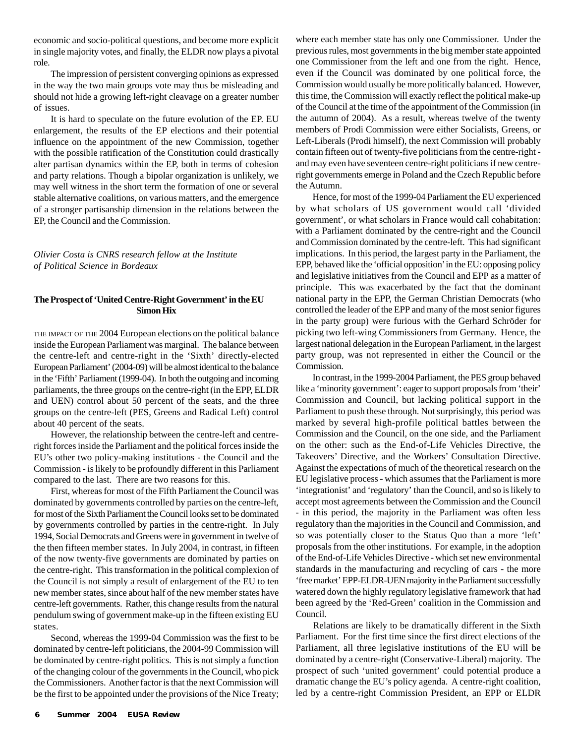economic and socio-political questions, and become more explicit in single majority votes, and finally, the ELDR now plays a pivotal role.

The impression of persistent converging opinions as expressed in the way the two main groups vote may thus be misleading and should not hide a growing left-right cleavage on a greater number of issues.

It is hard to speculate on the future evolution of the EP. EU enlargement, the results of the EP elections and their potential influence on the appointment of the new Commission, together with the possible ratification of the Constitution could drastically alter partisan dynamics within the EP, both in terms of cohesion and party relations. Though a bipolar organization is unlikely, we may well witness in the short term the formation of one or several stable alternative coalitions, on various matters, and the emergence of a stronger partisanship dimension in the relations between the EP, the Council and the Commission.

*Olivier Costa is CNRS research fellow at the Institute of Political Science in Bordeaux*

#### **The Prospect of 'United Centre-Right Government' in the EU Simon Hix**

THE IMPACT OF THE 2004 European elections on the political balance inside the European Parliament was marginal. The balance between the centre-left and centre-right in the 'Sixth' directly-elected European Parliament' (2004-09) will be almost identical to the balance in the 'Fifth' Parliament (1999-04). In both the outgoing and incoming parliaments, the three groups on the centre-right (in the EPP, ELDR and UEN) control about 50 percent of the seats, and the three groups on the centre-left (PES, Greens and Radical Left) control about 40 percent of the seats.

However, the relationship between the centre-left and centreright forces inside the Parliament and the political forces inside the EU's other two policy-making institutions - the Council and the Commission - is likely to be profoundly different in this Parliament compared to the last. There are two reasons for this.

First, whereas for most of the Fifth Parliament the Council was dominated by governments controlled by parties on the centre-left, for most of the Sixth Parliament the Council looks set to be dominated by governments controlled by parties in the centre-right. In July 1994, Social Democrats and Greens were in government in twelve of the then fifteen member states. In July 2004, in contrast, in fifteen of the now twenty-five governments are dominated by parties on the centre-right. This transformation in the political complexion of the Council is not simply a result of enlargement of the EU to ten new member states, since about half of the new member states have centre-left governments. Rather, this change results from the natural pendulum swing of government make-up in the fifteen existing EU states.

Second, whereas the 1999-04 Commission was the first to be dominated by centre-left politicians, the 2004-99 Commission will be dominated by centre-right politics. This is not simply a function of the changing colour of the governments in the Council, who pick the Commissioners. Another factor is that the next Commission will be the first to be appointed under the provisions of the Nice Treaty; where each member state has only one Commissioner. Under the previous rules, most governments in the big member state appointed one Commissioner from the left and one from the right. Hence, even if the Council was dominated by one political force, the Commission would usually be more politically balanced. However, this time, the Commission will exactly reflect the political make-up of the Council at the time of the appointment of the Commission (in the autumn of 2004). As a result, whereas twelve of the twenty members of Prodi Commission were either Socialists, Greens, or Left-Liberals (Prodi himself), the next Commission will probably contain fifteen out of twenty-five politicians from the centre-right and may even have seventeen centre-right politicians if new centreright governments emerge in Poland and the Czech Republic before the Autumn.

Hence, for most of the 1999-04 Parliament the EU experienced by what scholars of US government would call 'divided government', or what scholars in France would call cohabitation: with a Parliament dominated by the centre-right and the Council and Commission dominated by the centre-left. This had significant implications. In this period, the largest party in the Parliament, the EPP, behaved like the 'official opposition' in the EU: opposing policy and legislative initiatives from the Council and EPP as a matter of principle. This was exacerbated by the fact that the dominant national party in the EPP, the German Christian Democrats (who controlled the leader of the EPP and many of the most senior figures in the party group) were furious with the Gerhard Schröder for picking two left-wing Commissioners from Germany. Hence, the largest national delegation in the European Parliament, in the largest party group, was not represented in either the Council or the Commission.

In contrast, in the 1999-2004 Parliament, the PES group behaved like a 'minority government': eager to support proposals from 'their' Commission and Council, but lacking political support in the Parliament to push these through. Not surprisingly, this period was marked by several high-profile political battles between the Commission and the Council, on the one side, and the Parliament on the other: such as the End-of-Life Vehicles Directive, the Takeovers' Directive, and the Workers' Consultation Directive. Against the expectations of much of the theoretical research on the EU legislative process - which assumes that the Parliament is more 'integrationist' and 'regulatory' than the Council, and so is likely to accept most agreements between the Commission and the Council - in this period, the majority in the Parliament was often less regulatory than the majorities in the Council and Commission, and so was potentially closer to the Status Quo than a more 'left' proposals from the other institutions. For example, in the adoption of the End-of-Life Vehicles Directive - which set new environmental standards in the manufacturing and recycling of cars - the more 'free market' EPP-ELDR-UEN majority in the Parliament successfully watered down the highly regulatory legislative framework that had been agreed by the 'Red-Green' coalition in the Commission and Council.

Relations are likely to be dramatically different in the Sixth Parliament. For the first time since the first direct elections of the Parliament, all three legislative institutions of the EU will be dominated by a centre-right (Conservative-Liberal) majority. The prospect of such 'united government' could potential produce a dramatic change the EU's policy agenda. A centre-right coalition, led by a centre-right Commission President, an EPP or ELDR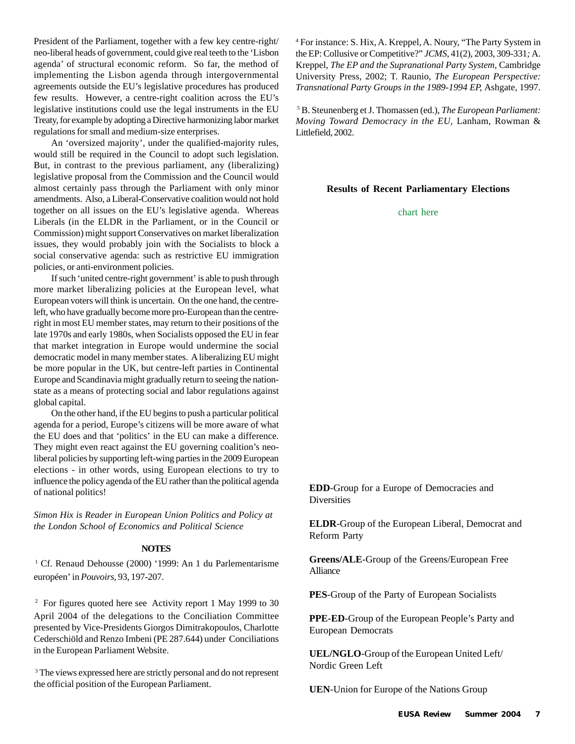President of the Parliament, together with a few key centre-right/ neo-liberal heads of government, could give real teeth to the 'Lisbon agenda' of structural economic reform. So far, the method of implementing the Lisbon agenda through intergovernmental agreements outside the EU's legislative procedures has produced few results. However, a centre-right coalition across the EU's legislative institutions could use the legal instruments in the EU Treaty, for example by adopting a Directive harmonizing labor market regulations for small and medium-size enterprises.

An 'oversized majority', under the qualified-majority rules, would still be required in the Council to adopt such legislation. But, in contrast to the previous parliament, any (liberalizing) legislative proposal from the Commission and the Council would almost certainly pass through the Parliament with only minor amendments. Also, a Liberal-Conservative coalition would not hold together on all issues on the EU's legislative agenda. Whereas Liberals (in the ELDR in the Parliament, or in the Council or Commission) might support Conservatives on market liberalization issues, they would probably join with the Socialists to block a social conservative agenda: such as restrictive EU immigration policies, or anti-environment policies.

If such 'united centre-right government' is able to push through more market liberalizing policies at the European level, what European voters will think is uncertain. On the one hand, the centreleft, who have gradually become more pro-European than the centreright in most EU member states, may return to their positions of the late 1970s and early 1980s, when Socialists opposed the EU in fear that market integration in Europe would undermine the social democratic model in many member states. A liberalizing EU might be more popular in the UK, but centre-left parties in Continental Europe and Scandinavia might gradually return to seeing the nationstate as a means of protecting social and labor regulations against global capital.

On the other hand, if the EU begins to push a particular political agenda for a period, Europe's citizens will be more aware of what the EU does and that 'politics' in the EU can make a difference. They might even react against the EU governing coalition's neoliberal policies by supporting left-wing parties in the 2009 European elections - in other words, using European elections to try to influence the policy agenda of the EU rather than the political agenda of national politics!

*Simon Hix is Reader in European Union Politics and Policy at the London School of Economics and Political Science*

### **NOTES**

<sup>1</sup> Cf. Renaud Dehousse (2000) '1999: An 1 du Parlementarisme européen' in *Pouvoirs*, 93, 197-207.

<sup>2</sup> For figures quoted here see Activity report 1 May 1999 to 30 April 2004 of the delegations to the Conciliation Committee presented by Vice-Presidents Giorgos Dimitrakopoulos, Charlotte Cederschiöld and Renzo Imbeni (PE 287.644) under Conciliations in the European Parliament Website.

<sup>3</sup> The views expressed here are strictly personal and do not represent the official position of the European Parliament.

4 For instance: S. Hix, A. Kreppel, A. Noury, "The Party System in the EP: Collusive or Competitive?" *JCMS,* 41(2), 2003, 309-331*;* A. Kreppel, *The EP and the Supranational Party System,* Cambridge University Press, 2002; T. Raunio, *The European Perspective: Transnational Party Groups in the 1989-1994 EP,* Ashgate, 1997.

5 B. Steunenberg et J. Thomassen (ed.), *The European Parliament: Moving Toward Democracy in the EU,* Lanham, Rowman & Littlefield, 2002.

#### **Results of Recent Parliamentary Elections**

#### chart here

**EDD**-Group for a Europe of Democracies and **Diversities** 

**ELDR**-Group of the European Liberal, Democrat and Reform Party

**Greens/ALE**-Group of the Greens/European Free Alliance

**PES**-Group of the Party of European Socialists

**PPE-ED**-Group of the European People's Party and European Democrats

**UEL/NGLO**-Group of the European United Left/ Nordic Green Left

**UEN**-Union for Europe of the Nations Group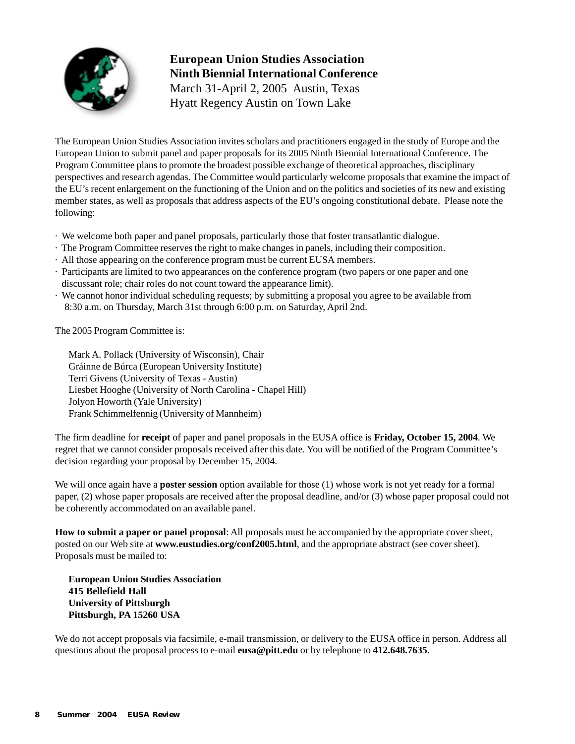

# **European Union Studies Association Ninth Biennial International Conference** March 31-April 2, 2005 Austin, Texas

Hyatt Regency Austin on Town Lake

The European Union Studies Association invites scholars and practitioners engaged in the study of Europe and the European Union to submit panel and paper proposals for its 2005 Ninth Biennial International Conference. The Program Committee plans to promote the broadest possible exchange of theoretical approaches, disciplinary perspectives and research agendas. The Committee would particularly welcome proposals that examine the impact of the EU's recent enlargement on the functioning of the Union and on the politics and societies of its new and existing member states, as well as proposals that address aspects of the EU's ongoing constitutional debate. Please note the following:

- · We welcome both paper and panel proposals, particularly those that foster transatlantic dialogue.
- · The Program Committee reserves the right to make changes in panels, including their composition.
- · All those appearing on the conference program must be current EUSA members.
- · Participants are limited to two appearances on the conference program (two papers or one paper and one discussant role; chair roles do not count toward the appearance limit).
- · We cannot honor individual scheduling requests; by submitting a proposal you agree to be available from 8:30 a.m. on Thursday, March 31st through 6:00 p.m. on Saturday, April 2nd.

The 2005 Program Committee is:

Mark A. Pollack (University of Wisconsin), Chair Gráinne de Búrca (European University Institute) Terri Givens (University of Texas - Austin) Liesbet Hooghe (University of North Carolina - Chapel Hill) Jolyon Howorth (Yale University) Frank Schimmelfennig (University of Mannheim)

The firm deadline for **receipt** of paper and panel proposals in the EUSA office is **Friday, October 15, 2004**. We regret that we cannot consider proposals received after this date. You will be notified of the Program Committee's decision regarding your proposal by December 15, 2004.

We will once again have a **poster session** option available for those (1) whose work is not yet ready for a formal paper, (2) whose paper proposals are received after the proposal deadline, and/or (3) whose paper proposal could not be coherently accommodated on an available panel.

**How to submit a paper or panel proposal**: All proposals must be accompanied by the appropriate cover sheet, posted on our Web site at **www.eustudies.org/conf2005.html**, and the appropriate abstract (see cover sheet). Proposals must be mailed to:

**European Union Studies Association 415 Bellefield Hall University of Pittsburgh Pittsburgh, PA 15260 USA**

We do not accept proposals via facsimile, e-mail transmission, or delivery to the EUSA office in person. Address all questions about the proposal process to e-mail **eusa@pitt.edu** or by telephone to **412.648.7635**.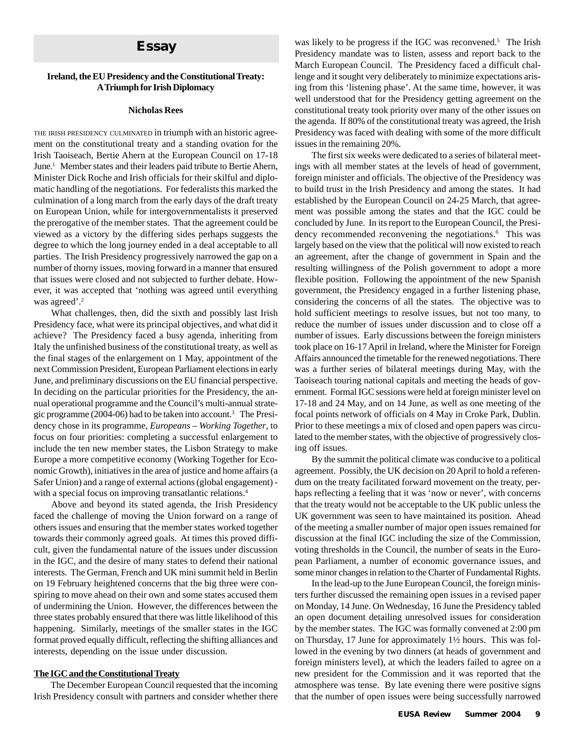# **Essay**

#### **Ireland, the EU Presidency and the Constitutional Treaty: A Triumph for Irish Diplomacy**

#### **Nicholas Rees**

THE IRISH PRESIDENCY CULMINATED in triumph with an historic agreement on the constitutional treaty and a standing ovation for the Irish Taoiseach, Bertie Ahern at the European Council on 17-18 June.<sup>1</sup> Member states and their leaders paid tribute to Bertie Ahern, Minister Dick Roche and Irish officials for their skilful and diplomatic handling of the negotiations. For federalists this marked the culmination of a long march from the early days of the draft treaty on European Union, while for intergovernmentalists it preserved the prerogative of the member states. That the agreement could be viewed as a victory by the differing sides perhaps suggests the degree to which the long journey ended in a deal acceptable to all parties. The Irish Presidency progressively narrowed the gap on a number of thorny issues, moving forward in a manner that ensured that issues were closed and not subjected to further debate. However, it was accepted that 'nothing was agreed until everything was agreed'.<sup>2</sup>

What challenges, then, did the sixth and possibly last Irish Presidency face, what were its principal objectives, and what did it achieve? The Presidency faced a busy agenda, inheriting from Italy the unfinished business of the constitutional treaty, as well as the final stages of the enlargement on 1 May, appointment of the next Commission President, European Parliament elections in early June, and preliminary discussions on the EU financial perspective. In deciding on the particular priorities for the Presidency, the annual operational programme and the Council's multi-annual strategic programme (2004-06) had to be taken into account.3 The Presidency chose in its programme, *Europeans – Working Together*, to focus on four priorities: completing a successful enlargement to include the ten new member states, the Lisbon Strategy to make Europe a more competitive economy (Working Together for Economic Growth), initiatives in the area of justice and home affairs (a Safer Union) and a range of external actions (global engagement) with a special focus on improving transatlantic relations.<sup>4</sup>

Above and beyond its stated agenda, the Irish Presidency faced the challenge of moving the Union forward on a range of others issues and ensuring that the member states worked together towards their commonly agreed goals. At times this proved difficult, given the fundamental nature of the issues under discussion in the IGC, and the desire of many states to defend their national interests. The German, French and UK mini summit held in Berlin on 19 February heightened concerns that the big three were conspiring to move ahead on their own and some states accused them of undermining the Union. However, the differences between the three states probably ensured that there was little likelihood of this happening. Similarly, meetings of the smaller states in the IGC format proved equally difficult, reflecting the shifting alliances and interests, depending on the issue under discussion.

#### **The IGC and the Constitutional Treaty**

The December European Council requested that the incoming Irish Presidency consult with partners and consider whether there was likely to be progress if the IGC was reconvened.<sup>5</sup> The Irish Presidency mandate was to listen, assess and report back to the March European Council. The Presidency faced a difficult challenge and it sought very deliberately to minimize expectations arising from this 'listening phase'. At the same time, however, it was well understood that for the Presidency getting agreement on the constitutional treaty took priority over many of the other issues on the agenda. If 80% of the constitutional treaty was agreed, the Irish Presidency was faced with dealing with some of the more difficult issues in the remaining 20%.

The first six weeks were dedicated to a series of bilateral meetings with all member states at the levels of head of government, foreign minister and officials. The objective of the Presidency was to build trust in the Irish Presidency and among the states. It had established by the European Council on 24-25 March, that agreement was possible among the states and that the IGC could be concluded by June. In its report to the European Council, the Presidency recommended reconvening the negotiations.<sup>6</sup> This was largely based on the view that the political will now existed to reach an agreement, after the change of government in Spain and the resulting willingness of the Polish government to adopt a more flexible position. Following the appointment of the new Spanish government, the Presidency engaged in a further listening phase, considering the concerns of all the states. The objective was to hold sufficient meetings to resolve issues, but not too many, to reduce the number of issues under discussion and to close off a number of issues. Early discussions between the foreign ministers took place on 16-17 April in Ireland, where the Minister for Foreign Affairs announced the timetable for the renewed negotiations. There was a further series of bilateral meetings during May, with the Taoiseach touring national capitals and meeting the heads of government. Formal IGC sessions were held at foreign minister level on 17-18 and 24 May, and on 14 June, as well as one meeting of the focal points network of officials on 4 May in Croke Park, Dublin. Prior to these meetings a mix of closed and open papers was circulated to the member states, with the objective of progressively closing off issues.

By the summit the political climate was conducive to a political agreement. Possibly, the UK decision on 20 April to hold a referendum on the treaty facilitated forward movement on the treaty, perhaps reflecting a feeling that it was 'now or never', with concerns that the treaty would not be acceptable to the UK public unless the UK government was seen to have maintained its position. Ahead of the meeting a smaller number of major open issues remained for discussion at the final IGC including the size of the Commission, voting thresholds in the Council, the number of seats in the European Parliament, a number of economic governance issues, and some minor changes in relation to the Charter of Fundamental Rights.

In the lead-up to the June European Council, the foreign ministers further discussed the remaining open issues in a revised paper on Monday, 14 June. On Wednesday, 16 June the Presidency tabled an open document detailing unresolved issues for consideration by the member states. The IGC was formally convened at 2:00 pm on Thursday, 17 June for approximately 1½ hours. This was followed in the evening by two dinners (at heads of government and foreign ministers level), at which the leaders failed to agree on a new president for the Commission and it was reported that the atmosphere was tense. By late evening there were positive signs that the number of open issues were being successfully narrowed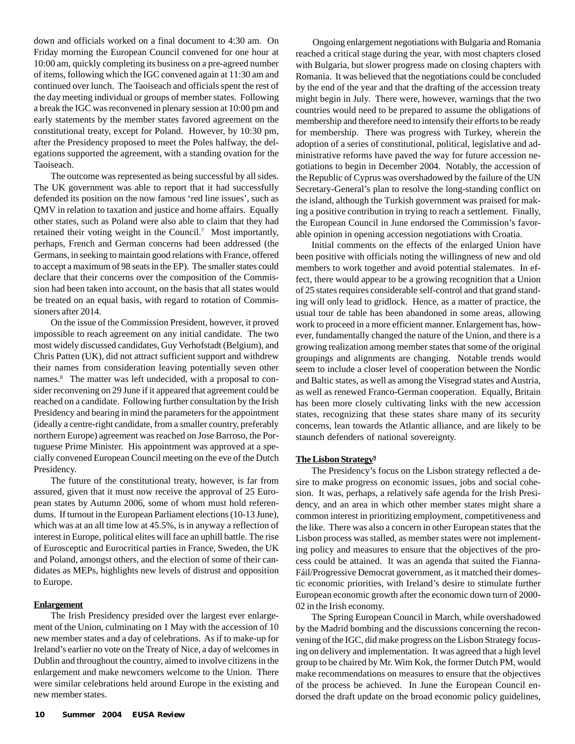down and officials worked on a final document to 4:30 am. On Friday morning the European Council convened for one hour at 10:00 am, quickly completing its business on a pre-agreed number of items, following which the IGC convened again at 11:30 am and continued over lunch. The Taoiseach and officials spent the rest of the day meeting individual or groups of member states. Following a break the IGC was reconvened in plenary session at 10:00 pm and early statements by the member states favored agreement on the constitutional treaty, except for Poland. However, by 10:30 pm, after the Presidency proposed to meet the Poles halfway, the delegations supported the agreement, with a standing ovation for the Taoiseach.

The outcome was represented as being successful by all sides. The UK government was able to report that it had successfully defended its position on the now famous 'red line issues', such as QMV in relation to taxation and justice and home affairs. Equally other states, such as Poland were also able to claim that they had retained their voting weight in the Council.<sup>7</sup> Most importantly, perhaps, French and German concerns had been addressed (the Germans, in seeking to maintain good relations with France, offered to accept a maximum of 98 seats in the EP). The smaller states could declare that their concerns over the composition of the Commission had been taken into account, on the basis that all states would be treated on an equal basis, with regard to rotation of Commissioners after 2014.

On the issue of the Commission President, however, it proved impossible to reach agreement on any initial candidate. The two most widely discussed candidates, Guy Verhofstadt (Belgium), and Chris Patten (UK), did not attract sufficient support and withdrew their names from consideration leaving potentially seven other names.<sup>8</sup> The matter was left undecided, with a proposal to consider reconvening on 29 June if it appeared that agreement could be reached on a candidate. Following further consultation by the Irish Presidency and bearing in mind the parameters for the appointment (ideally a centre-right candidate, from a smaller country, preferably northern Europe) agreement was reached on Jose Barroso, the Portuguese Prime Minister. His appointment was approved at a specially convened European Council meeting on the eve of the Dutch Presidency.

The future of the constitutional treaty, however, is far from assured, given that it must now receive the approval of 25 European states by Autumn 2006, some of whom must hold referendums. If turnout in the European Parliament elections (10-13 June), which was at an all time low at 45.5%, is in anyway a reflection of interest in Europe, political elites will face an uphill battle. The rise of Eurosceptic and Eurocritical parties in France, Sweden, the UK and Poland, amongst others, and the election of some of their candidates as MEPs, highlights new levels of distrust and opposition to Europe.

#### **Enlargement**

The Irish Presidency presided over the largest ever enlargement of the Union, culminating on 1 May with the accession of 10 new member states and a day of celebrations. As if to make-up for Ireland's earlier no vote on the Treaty of Nice, a day of welcomes in Dublin and throughout the country, aimed to involve citizens in the enlargement and make newcomers welcome to the Union. There were similar celebrations held around Europe in the existing and new member states.

Ongoing enlargement negotiations with Bulgaria and Romania reached a critical stage during the year, with most chapters closed with Bulgaria, but slower progress made on closing chapters with Romania. It was believed that the negotiations could be concluded by the end of the year and that the drafting of the accession treaty might begin in July. There were, however, warnings that the two countries would need to be prepared to assume the obligations of membership and therefore need to intensify their efforts to be ready for membership. There was progress with Turkey, wherein the adoption of a series of constitutional, political, legislative and administrative reforms have paved the way for future accession negotiations to begin in December 2004. Notably, the accession of the Republic of Cyprus was overshadowed by the failure of the UN Secretary-General's plan to resolve the long-standing conflict on the island, although the Turkish government was praised for making a positive contribution in trying to reach a settlement. Finally, the European Council in June endorsed the Commission's favorable opinion in opening accession negotiations with Croatia.

Initial comments on the effects of the enlarged Union have been positive with officials noting the willingness of new and old members to work together and avoid potential stalemates. In effect, there would appear to be a growing recognition that a Union of 25 states requires considerable self-control and that grand standing will only lead to gridlock. Hence, as a matter of practice, the usual tour de table has been abandoned in some areas, allowing work to proceed in a more efficient manner. Enlargement has, however, fundamentally changed the nature of the Union, and there is a growing realization among member states that some of the original groupings and alignments are changing. Notable trends would seem to include a closer level of cooperation between the Nordic and Baltic states, as well as among the Visegrad states and Austria, as well as renewed Franco-German cooperation. Equally, Britain has been more closely cultivating links with the new accession states, recognizing that these states share many of its security concerns, lean towards the Atlantic alliance, and are likely to be staunch defenders of national sovereignty.

#### **The Lisbon Strategy9**

The Presidency's focus on the Lisbon strategy reflected a desire to make progress on economic issues, jobs and social cohesion. It was, perhaps, a relatively safe agenda for the Irish Presidency, and an area in which other member states might share a common interest in prioritizing employment, competitiveness and the like. There was also a concern in other European states that the Lisbon process was stalled, as member states were not implementing policy and measures to ensure that the objectives of the process could be attained. It was an agenda that suited the Fianna-Fáil/Progressive Democrat government, as it matched their domestic economic priorities, with Ireland's desire to stimulate further European economic growth after the economic down turn of 2000- 02 in the Irish economy.

The Spring European Council in March, while overshadowed by the Madrid bombing and the discussions concerning the reconvening of the IGC, did make progress on the Lisbon Strategy focusing on delivery and implementation. It was agreed that a high level group to be chaired by Mr. Wim Kok, the former Dutch PM, would make recommendations on measures to ensure that the objectives of the process be achieved. In June the European Council endorsed the draft update on the broad economic policy guidelines,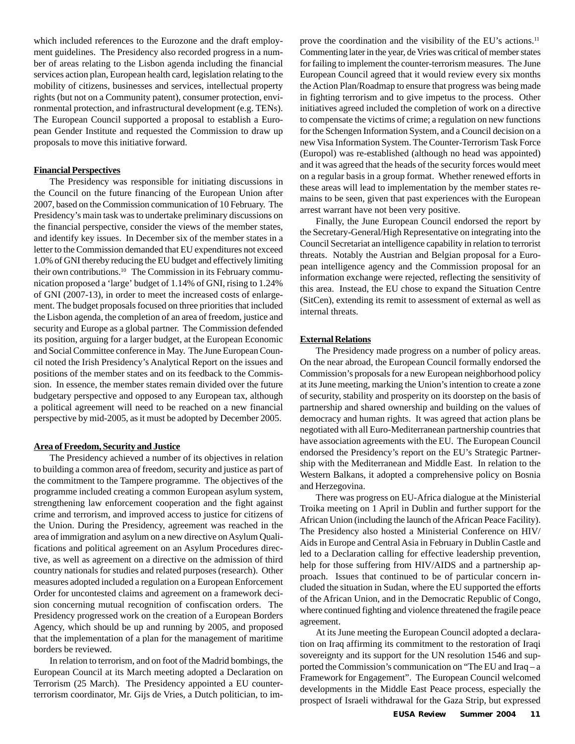which included references to the Eurozone and the draft employment guidelines. The Presidency also recorded progress in a number of areas relating to the Lisbon agenda including the financial services action plan, European health card, legislation relating to the mobility of citizens, businesses and services, intellectual property rights (but not on a Community patent), consumer protection, environmental protection, and infrastructural development (e.g. TENs). The European Council supported a proposal to establish a European Gender Institute and requested the Commission to draw up proposals to move this initiative forward.

#### **Financial Perspectives**

The Presidency was responsible for initiating discussions in the Council on the future financing of the European Union after 2007, based on the Commission communication of 10 February. The Presidency's main task was to undertake preliminary discussions on the financial perspective, consider the views of the member states, and identify key issues. In December six of the member states in a letter to the Commission demanded that EU expenditures not exceed 1.0% of GNI thereby reducing the EU budget and effectively limiting their own contributions.<sup>10</sup> The Commission in its February communication proposed a 'large' budget of 1.14% of GNI, rising to 1.24% of GNI (2007-13), in order to meet the increased costs of enlargement. The budget proposals focused on three priorities that included the Lisbon agenda, the completion of an area of freedom, justice and security and Europe as a global partner. The Commission defended its position, arguing for a larger budget, at the European Economic and Social Committee conference in May. The June European Council noted the Irish Presidency's Analytical Report on the issues and positions of the member states and on its feedback to the Commission. In essence, the member states remain divided over the future budgetary perspective and opposed to any European tax, although a political agreement will need to be reached on a new financial perspective by mid-2005, as it must be adopted by December 2005.

#### **Area of Freedom, Security and Justice**

The Presidency achieved a number of its objectives in relation to building a common area of freedom, security and justice as part of the commitment to the Tampere programme. The objectives of the programme included creating a common European asylum system, strengthening law enforcement cooperation and the fight against crime and terrorism, and improved access to justice for citizens of the Union. During the Presidency, agreement was reached in the area of immigration and asylum on a new directive on Asylum Qualifications and political agreement on an Asylum Procedures directive, as well as agreement on a directive on the admission of third country nationals for studies and related purposes (research). Other measures adopted included a regulation on a European Enforcement Order for uncontested claims and agreement on a framework decision concerning mutual recognition of confiscation orders. The Presidency progressed work on the creation of a European Borders Agency, which should be up and running by 2005, and proposed that the implementation of a plan for the management of maritime borders be reviewed.

In relation to terrorism, and on foot of the Madrid bombings, the European Council at its March meeting adopted a Declaration on Terrorism (25 March). The Presidency appointed a EU counterterrorism coordinator, Mr. Gijs de Vries, a Dutch politician, to improve the coordination and the visibility of the EU's actions.<sup>11</sup> Commenting later in the year, de Vries was critical of member states for failing to implement the counter-terrorism measures. The June European Council agreed that it would review every six months the Action Plan/Roadmap to ensure that progress was being made in fighting terrorism and to give impetus to the process. Other initiatives agreed included the completion of work on a directive to compensate the victims of crime; a regulation on new functions for the Schengen Information System, and a Council decision on a new Visa Information System. The Counter-Terrorism Task Force (Europol) was re-established (although no head was appointed) and it was agreed that the heads of the security forces would meet on a regular basis in a group format. Whether renewed efforts in these areas will lead to implementation by the member states remains to be seen, given that past experiences with the European arrest warrant have not been very positive.

Finally, the June European Council endorsed the report by the Secretary-General/High Representative on integrating into the Council Secretariat an intelligence capability in relation to terrorist threats. Notably the Austrian and Belgian proposal for a European intelligence agency and the Commission proposal for an information exchange were rejected, reflecting the sensitivity of this area. Instead, the EU chose to expand the Situation Centre (SitCen), extending its remit to assessment of external as well as internal threats.

#### **External Relations**

The Presidency made progress on a number of policy areas. On the near abroad, the European Council formally endorsed the Commission's proposals for a new European neighborhood policy at its June meeting, marking the Union's intention to create a zone of security, stability and prosperity on its doorstep on the basis of partnership and shared ownership and building on the values of democracy and human rights. It was agreed that action plans be negotiated with all Euro-Mediterranean partnership countries that have association agreements with the EU. The European Council endorsed the Presidency's report on the EU's Strategic Partnership with the Mediterranean and Middle East. In relation to the Western Balkans, it adopted a comprehensive policy on Bosnia and Herzegovina.

There was progress on EU-Africa dialogue at the Ministerial Troika meeting on 1 April in Dublin and further support for the African Union (including the launch of the African Peace Facility). The Presidency also hosted a Ministerial Conference on HIV/ Aids in Europe and Central Asia in February in Dublin Castle and led to a Declaration calling for effective leadership prevention, help for those suffering from HIV/AIDS and a partnership approach. Issues that continued to be of particular concern included the situation in Sudan, where the EU supported the efforts of the African Union, and in the Democratic Republic of Congo, where continued fighting and violence threatened the fragile peace agreement.

At its June meeting the European Council adopted a declaration on Iraq affirming its commitment to the restoration of Iraqi sovereignty and its support for the UN resolution 1546 and supported the Commission's communication on "The EU and Iraq – a Framework for Engagement". The European Council welcomed developments in the Middle East Peace process, especially the prospect of Israeli withdrawal for the Gaza Strip, but expressed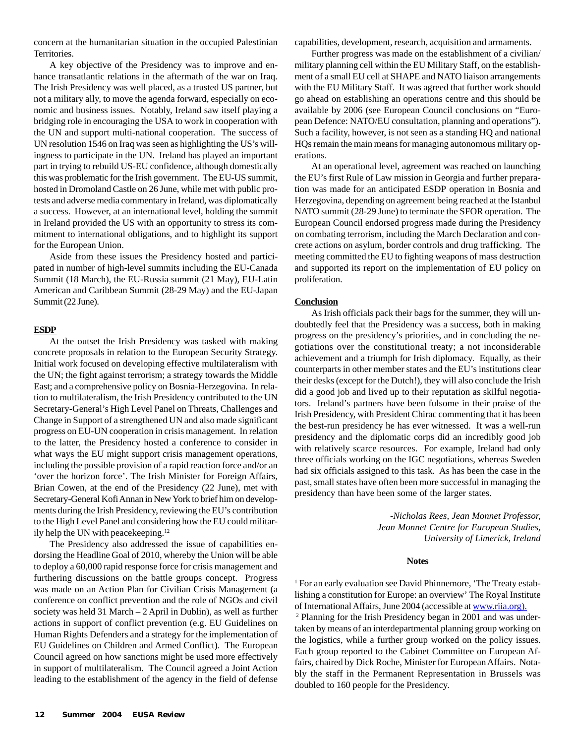concern at the humanitarian situation in the occupied Palestinian Territories.

A key objective of the Presidency was to improve and enhance transatlantic relations in the aftermath of the war on Iraq. The Irish Presidency was well placed, as a trusted US partner, but not a military ally, to move the agenda forward, especially on economic and business issues. Notably, Ireland saw itself playing a bridging role in encouraging the USA to work in cooperation with the UN and support multi-national cooperation. The success of UN resolution 1546 on Iraq was seen as highlighting the US's willingness to participate in the UN. Ireland has played an important part in trying to rebuild US-EU confidence, although domestically this was problematic for the Irish government. The EU-US summit, hosted in Dromoland Castle on 26 June, while met with public protests and adverse media commentary in Ireland, was diplomatically a success. However, at an international level, holding the summit in Ireland provided the US with an opportunity to stress its commitment to international obligations, and to highlight its support for the European Union.

Aside from these issues the Presidency hosted and participated in number of high-level summits including the EU-Canada Summit (18 March), the EU-Russia summit (21 May), EU-Latin American and Caribbean Summit (28-29 May) and the EU-Japan Summit (22 June).

#### **ESDP**

At the outset the Irish Presidency was tasked with making concrete proposals in relation to the European Security Strategy. Initial work focused on developing effective multilateralism with the UN; the fight against terrorism; a strategy towards the Middle East; and a comprehensive policy on Bosnia-Herzegovina. In relation to multilateralism, the Irish Presidency contributed to the UN Secretary-General's High Level Panel on Threats, Challenges and Change in Support of a strengthened UN and also made significant progress on EU-UN cooperation in crisis management. In relation to the latter, the Presidency hosted a conference to consider in what ways the EU might support crisis management operations, including the possible provision of a rapid reaction force and/or an 'over the horizon force'. The Irish Minister for Foreign Affairs, Brian Cowen, at the end of the Presidency (22 June), met with Secretary-General Kofi Annan in New York to brief him on developments during the Irish Presidency, reviewing the EU's contribution to the High Level Panel and considering how the EU could militarily help the UN with peacekeeping.<sup>12</sup>

The Presidency also addressed the issue of capabilities endorsing the Headline Goal of 2010, whereby the Union will be able to deploy a 60,000 rapid response force for crisis management and furthering discussions on the battle groups concept. Progress was made on an Action Plan for Civilian Crisis Management (a conference on conflict prevention and the role of NGOs and civil society was held 31 March – 2 April in Dublin), as well as further actions in support of conflict prevention (e.g. EU Guidelines on Human Rights Defenders and a strategy for the implementation of EU Guidelines on Children and Armed Conflict). The European Council agreed on how sanctions might be used more effectively in support of multilateralism. The Council agreed a Joint Action leading to the establishment of the agency in the field of defense

capabilities, development, research, acquisition and armaments.

Further progress was made on the establishment of a civilian/ military planning cell within the EU Military Staff, on the establishment of a small EU cell at SHAPE and NATO liaison arrangements with the EU Military Staff. It was agreed that further work should go ahead on establishing an operations centre and this should be available by 2006 (see European Council conclusions on "European Defence: NATO/EU consultation, planning and operations"). Such a facility, however, is not seen as a standing HQ and national HQs remain the main means for managing autonomous military operations.

At an operational level, agreement was reached on launching the EU's first Rule of Law mission in Georgia and further preparation was made for an anticipated ESDP operation in Bosnia and Herzegovina, depending on agreement being reached at the Istanbul NATO summit (28-29 June) to terminate the SFOR operation. The European Council endorsed progress made during the Presidency on combating terrorism, including the March Declaration and concrete actions on asylum, border controls and drug trafficking. The meeting committed the EU to fighting weapons of mass destruction and supported its report on the implementation of EU policy on proliferation.

#### **Conclusion**

As Irish officials pack their bags for the summer, they will undoubtedly feel that the Presidency was a success, both in making progress on the presidency's priorities, and in concluding the negotiations over the constitutional treaty; a not inconsiderable achievement and a triumph for Irish diplomacy. Equally, as their counterparts in other member states and the EU's institutions clear their desks (except for the Dutch!), they will also conclude the Irish did a good job and lived up to their reputation as skilful negotiators. Ireland's partners have been fulsome in their praise of the Irish Presidency, with President Chirac commenting that it has been the best-run presidency he has ever witnessed. It was a well-run presidency and the diplomatic corps did an incredibly good job with relatively scarce resources. For example, Ireland had only three officials working on the IGC negotiations, whereas Sweden had six officials assigned to this task. As has been the case in the past, small states have often been more successful in managing the presidency than have been some of the larger states.

> *-Nicholas Rees, Jean Monnet Professor, Jean Monnet Centre for European Studies, University of Limerick, Ireland*

#### **Notes**

<sup>1</sup> For an early evaluation see David Phinnemore, 'The Treaty establishing a constitution for Europe: an overview' The Royal Institute of International Affairs, June 2004 (accessible at www.riia.org).

2 Planning for the Irish Presidency began in 2001 and was undertaken by means of an interdepartmental planning group working on the logistics, while a further group worked on the policy issues. Each group reported to the Cabinet Committee on European Affairs, chaired by Dick Roche, Minister for European Affairs. Notably the staff in the Permanent Representation in Brussels was doubled to 160 people for the Presidency.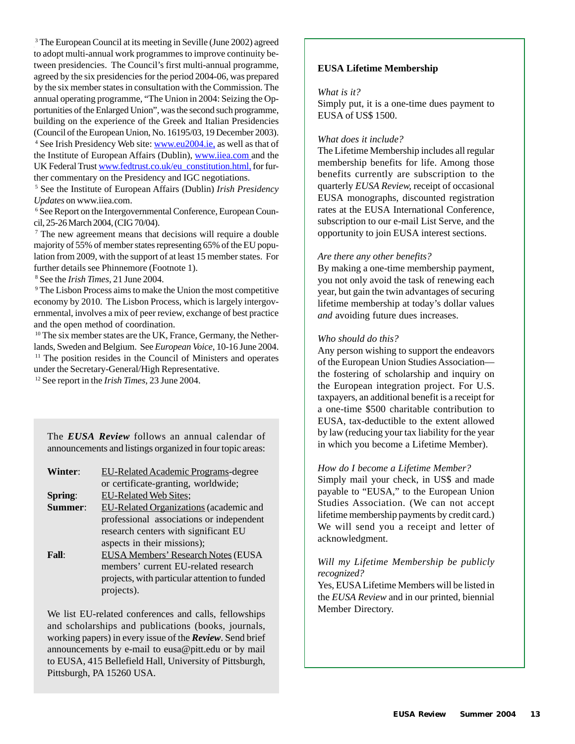<sup>3</sup> The European Council at its meeting in Seville (June 2002) agreed to adopt multi-annual work programmes to improve continuity between presidencies. The Council's first multi-annual programme, agreed by the six presidencies for the period 2004-06, was prepared by the six member states in consultation with the Commission. The annual operating programme, "The Union in 2004: Seizing the Opportunities of the Enlarged Union", was the second such programme, building on the experience of the Greek and Italian Presidencies (Council of the European Union, No. 16195/03, 19 December 2003). <sup>4</sup> See Irish Presidency Web site: **www.eu2004.ie**, as well as that of the Institute of European Affairs (Dublin), www.iiea.com and the UK Federal Trust www.fedtrust.co.uk/eu\_constitution.html, for further commentary on the Presidency and IGC negotiations.

5 See the Institute of European Affairs (Dublin) *Irish Presidency Updates* on www.iiea.com.

6 See Report on the Intergovernmental Conference, European Council, 25-26 March 2004, (CIG 70/04).

7 The new agreement means that decisions will require a double majority of 55% of member states representing 65% of the EU population from 2009, with the support of at least 15 member states. For further details see Phinnemore (Footnote 1).

8 See the *Irish Times*, 21 June 2004.

9 The Lisbon Process aims to make the Union the most competitive economy by 2010. The Lisbon Process, which is largely intergovernmental, involves a mix of peer review, exchange of best practice and the open method of coordination.

<sup>10</sup> The six member states are the UK, France, Germany, the Netherlands, Sweden and Belgium. See *European Voice*, 10-16 June 2004.  $11$  The position resides in the Council of Ministers and operates under the Secretary-General/High Representative.

12 See report in the *Irish Times*, 23 June 2004.

The *EUSA Review* follows an annual calendar of announcements and listings organized in four topic areas:

| Winter: | <b>EU-Related Academic Programs-degree</b> |  |
|---------|--------------------------------------------|--|
|         | or certificate-granting, worldwide;        |  |
| Spring: | EU-Related Web Sites;                      |  |

- **Summer**: EU-Related Organizations (academic and professional associations or independent research centers with significant EU aspects in their missions);
- **Fall**: EUSA Members' Research Notes (EUSA members' current EU-related research projects, with particular attention to funded projects).

We list EU-related conferences and calls, fellowships and scholarships and publications (books, journals, working papers) in every issue of the *Review*. Send brief announcements by e-mail to eusa@pitt.edu or by mail to EUSA, 415 Bellefield Hall, University of Pittsburgh, Pittsburgh, PA 15260 USA.

#### **EUSA Lifetime Membership**

#### *What is it?*

Simply put, it is a one-time dues payment to EUSA of US\$ 1500.

### *What does it include?*

The Lifetime Membership includes all regular membership benefits for life. Among those benefits currently are subscription to the quarterly *EUSA Review,* receipt of occasional EUSA monographs, discounted registration rates at the EUSA International Conference, subscription to our e-mail List Serve, and the opportunity to join EUSA interest sections.

#### *Are there any other benefits?*

By making a one-time membership payment, you not only avoid the task of renewing each year, but gain the twin advantages of securing lifetime membership at today's dollar values *and* avoiding future dues increases.

#### *Who should do this?*

Any person wishing to support the endeavors of the European Union Studies Association the fostering of scholarship and inquiry on the European integration project. For U.S. taxpayers, an additional benefit is a receipt for a one-time \$500 charitable contribution to EUSA, tax-deductible to the extent allowed by law (reducing your tax liability for the year in which you become a Lifetime Member).

#### *How do I become a Lifetime Member?*

Simply mail your check, in US\$ and made payable to "EUSA," to the European Union Studies Association. (We can not accept lifetime membership payments by credit card.) We will send you a receipt and letter of acknowledgment.

#### *Will my Lifetime Membership be publicly recognized?*

Yes, EUSA Lifetime Members will be listed in the *EUSA Review* and in our printed, biennial Member Directory.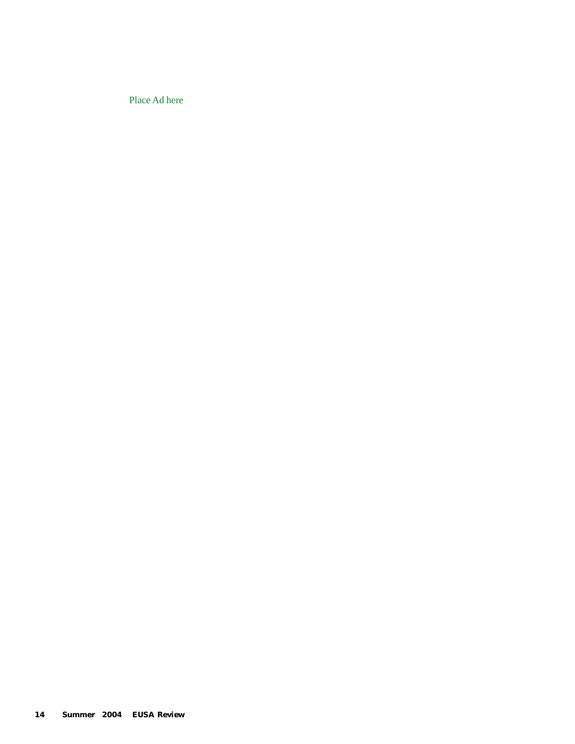Place Ad here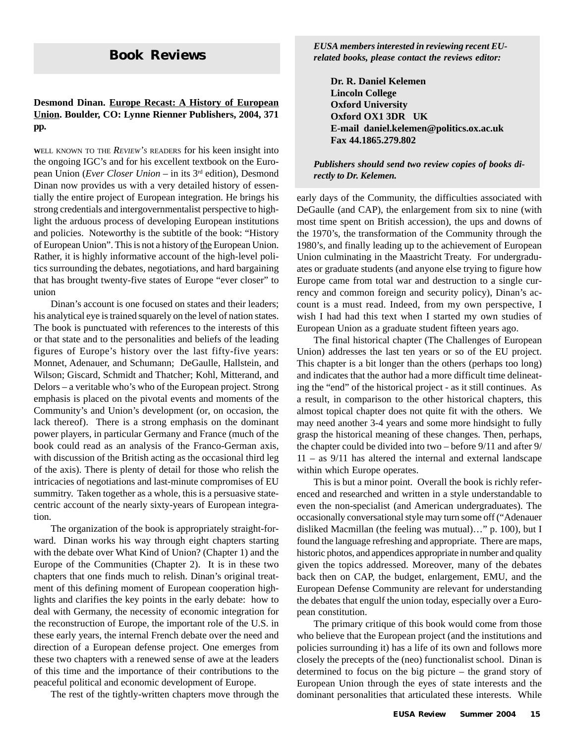## **Desmond Dinan. Europe Recast: A History of European Union. Boulder, CO: Lynne Rienner Publishers, 2004, 371 pp.**

**<sup>W</sup>**ELL KNOWN TO THE *REVIEW'S* READERS for his keen insight into the ongoing IGC's and for his excellent textbook on the European Union (*Ever Closer Union* – in its 3rd edition), Desmond Dinan now provides us with a very detailed history of essentially the entire project of European integration. He brings his strong credentials and intergovernmentalist perspective to highlight the arduous process of developing European institutions and policies. Noteworthy is the subtitle of the book: "History of European Union". This is not a history of the European Union. Rather, it is highly informative account of the high-level politics surrounding the debates, negotiations, and hard bargaining that has brought twenty-five states of Europe "ever closer" to union

Dinan's account is one focused on states and their leaders; his analytical eye is trained squarely on the level of nation states. The book is punctuated with references to the interests of this or that state and to the personalities and beliefs of the leading figures of Europe's history over the last fifty-five years: Monnet, Adenauer, and Schumann; DeGaulle, Hallstein, and Wilson; Giscard, Schmidt and Thatcher; Kohl, Mitterand, and Delors – a veritable who's who of the European project. Strong emphasis is placed on the pivotal events and moments of the Community's and Union's development (or, on occasion, the lack thereof). There is a strong emphasis on the dominant power players, in particular Germany and France (much of the book could read as an analysis of the Franco-German axis, with discussion of the British acting as the occasional third leg of the axis). There is plenty of detail for those who relish the intricacies of negotiations and last-minute compromises of EU summitry. Taken together as a whole, this is a persuasive statecentric account of the nearly sixty-years of European integration.

The organization of the book is appropriately straight-forward. Dinan works his way through eight chapters starting with the debate over What Kind of Union? (Chapter 1) and the Europe of the Communities (Chapter 2). It is in these two chapters that one finds much to relish. Dinan's original treatment of this defining moment of European cooperation highlights and clarifies the key points in the early debate: how to deal with Germany, the necessity of economic integration for the reconstruction of Europe, the important role of the U.S. in these early years, the internal French debate over the need and direction of a European defense project. One emerges from these two chapters with a renewed sense of awe at the leaders of this time and the importance of their contributions to the peaceful political and economic development of Europe.

The rest of the tightly-written chapters move through the

**Book Reviews** *EUSA members interested in reviewing recent EU-related books, please contact the reviews editor:*

**Dr. R. Daniel Kelemen Lincoln College Oxford University Oxford OX1 3DR UK E-mail daniel.kelemen@politics.ox.ac.uk Fax 44.1865.279.802**

*Publishers should send two review copies of books directly to Dr. Kelemen.*

early days of the Community, the difficulties associated with DeGaulle (and CAP), the enlargement from six to nine (with most time spent on British accession), the ups and downs of the 1970's, the transformation of the Community through the 1980's, and finally leading up to the achievement of European Union culminating in the Maastricht Treaty. For undergraduates or graduate students (and anyone else trying to figure how Europe came from total war and destruction to a single currency and common foreign and security policy), Dinan's account is a must read. Indeed, from my own perspective, I wish I had had this text when I started my own studies of European Union as a graduate student fifteen years ago.

The final historical chapter (The Challenges of European Union) addresses the last ten years or so of the EU project. This chapter is a bit longer than the others (perhaps too long) and indicates that the author had a more difficult time delineating the "end" of the historical project - as it still continues. As a result, in comparison to the other historical chapters, this almost topical chapter does not quite fit with the others. We may need another 3-4 years and some more hindsight to fully grasp the historical meaning of these changes. Then, perhaps, the chapter could be divided into two – before 9/11 and after 9/ 11 – as 9/11 has altered the internal and external landscape within which Europe operates.

This is but a minor point. Overall the book is richly referenced and researched and written in a style understandable to even the non-specialist (and American undergraduates). The occasionally conversational style may turn some off ("Adenauer disliked Macmillan (the feeling was mutual)…" p. 100), but I found the language refreshing and appropriate. There are maps, historic photos, and appendices appropriate in number and quality given the topics addressed. Moreover, many of the debates back then on CAP, the budget, enlargement, EMU, and the European Defense Community are relevant for understanding the debates that engulf the union today, especially over a European constitution.

The primary critique of this book would come from those who believe that the European project (and the institutions and policies surrounding it) has a life of its own and follows more closely the precepts of the (neo) functionalist school. Dinan is determined to focus on the big picture – the grand story of European Union through the eyes of state interests and the dominant personalities that articulated these interests. While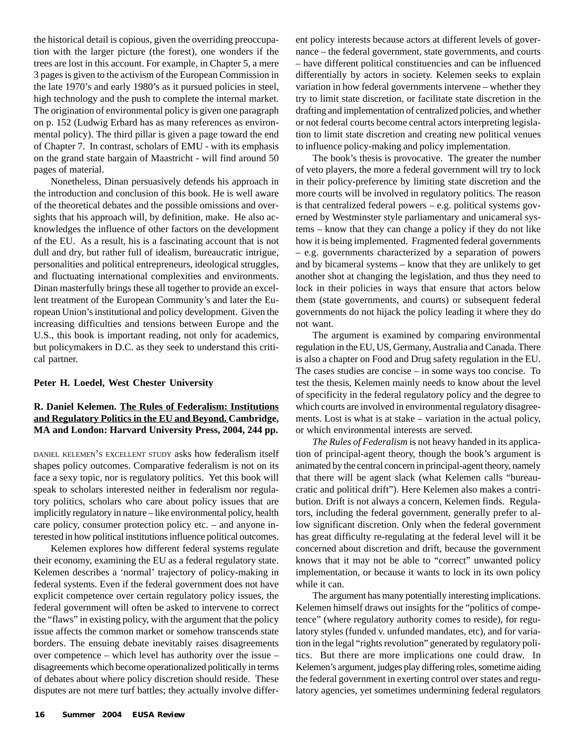the historical detail is copious, given the overriding preoccupation with the larger picture (the forest), one wonders if the trees are lost in this account. For example, in Chapter 5, a mere 3 pages is given to the activism of the European Commission in the late 1970's and early 1980's as it pursued policies in steel, high technology and the push to complete the internal market. The origination of environmental policy is given one paragraph on p. 152 (Ludwig Erhard has as many references as environmental policy). The third pillar is given a page toward the end of Chapter 7. In contrast, scholars of EMU - with its emphasis on the grand state bargain of Maastricht - will find around 50 pages of material.

Nonetheless, Dinan persuasively defends his approach in the introduction and conclusion of this book. He is well aware of the theoretical debates and the possible omissions and oversights that his approach will, by definition, make. He also acknowledges the influence of other factors on the development of the EU. As a result, his is a fascinating account that is not dull and dry, but rather full of idealism, bureaucratic intrigue, personalities and political entrepreneurs, ideological struggles, and fluctuating international complexities and environments. Dinan masterfully brings these all together to provide an excellent treatment of the European Community's and later the European Union's institutional and policy development. Given the increasing difficulties and tensions between Europe and the U.S., this book is important reading, not only for academics, but policymakers in D.C. as they seek to understand this critical partner.

#### **Peter H. Loedel, West Chester University**

## **R. Daniel Kelemen. The Rules of Federalism: Institutions and Regulatory Politics in the EU and Beyond. Cambridge, MA and London: Harvard University Press, 2004, 244 pp.**

DANIEL KELEMEN'S EXCELLENT STUDY asks how federalism itself shapes policy outcomes. Comparative federalism is not on its face a sexy topic, nor is regulatory politics. Yet this book will speak to scholars interested neither in federalism nor regulatory politics, scholars who care about policy issues that are implicitly regulatory in nature – like environmental policy, health care policy, consumer protection policy etc. – and anyone interested in how political institutions influence political outcomes.

Kelemen explores how different federal systems regulate their economy, examining the EU as a federal regulatory state. Kelemen describes a 'normal' trajectory of policy-making in federal systems. Even if the federal government does not have explicit competence over certain regulatory policy issues, the federal government will often be asked to intervene to correct the "flaws" in existing policy, with the argument that the policy issue affects the common market or somehow transcends state borders. The ensuing debate inevitably raises disagreements over competence – which level has authority over the issue – disagreements which become operationalized politically in terms of debates about where policy discretion should reside. These disputes are not mere turf battles; they actually involve different policy interests because actors at different levels of governance – the federal government, state governments, and courts – have different political constituencies and can be influenced differentially by actors in society. Kelemen seeks to explain variation in how federal governments intervene – whether they try to limit state discretion, or facilitate state discretion in the drafting and implementation of centralized policies, and whether or not federal courts become central actors interpreting legislation to limit state discretion and creating new political venues to influence policy-making and policy implementation.

The book's thesis is provocative. The greater the number of veto players, the more a federal government will try to lock in their policy-preference by limiting state discretion and the more courts will be involved in regulatory politics. The reason is that centralized federal powers – e.g. political systems governed by Westminster style parliamentary and unicameral systems – know that they can change a policy if they do not like how it is being implemented. Fragmented federal governments – e.g. governments characterized by a separation of powers and by bicameral systems – know that they are unlikely to get another shot at changing the legislation, and thus they need to lock in their policies in ways that ensure that actors below them (state governments, and courts) or subsequent federal governments do not hijack the policy leading it where they do not want.

The argument is examined by comparing environmental regulation in the EU, US, Germany, Australia and Canada. There is also a chapter on Food and Drug safety regulation in the EU. The cases studies are concise – in some ways too concise. To test the thesis, Kelemen mainly needs to know about the level of specificity in the federal regulatory policy and the degree to which courts are involved in environmental regulatory disagreements. Lost is what is at stake – variation in the actual policy, or which environmental interests are served.

*The Rules of Federalism* is not heavy handed in its application of principal-agent theory, though the book's argument is animated by the central concern in principal-agent theory, namely that there will be agent slack (what Kelemen calls "bureaucratic and political drift"). Here Kelemen also makes a contribution. Drift is not always a concern, Kelemen finds. Regulators, including the federal government, generally prefer to allow significant discretion. Only when the federal government has great difficulty re-regulating at the federal level will it be concerned about discretion and drift, because the government knows that it may not be able to "correct" unwanted policy implementation, or because it wants to lock in its own policy while it can.

The argument has many potentially interesting implications. Kelemen himself draws out insights for the "politics of competence" (where regulatory authority comes to reside), for regulatory styles (funded v. unfunded mandates, etc), and for variation in the legal "rights revolution" generated by regulatory politics. But there are more implications one could draw. In Kelemen's argument, judges play differing roles, sometime aiding the federal government in exerting control over states and regulatory agencies, yet sometimes undermining federal regulators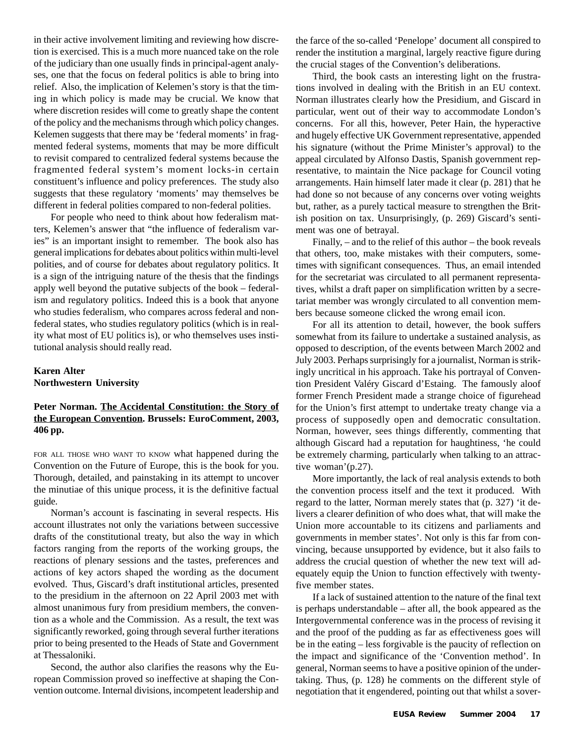in their active involvement limiting and reviewing how discretion is exercised. This is a much more nuanced take on the role of the judiciary than one usually finds in principal-agent analyses, one that the focus on federal politics is able to bring into relief. Also, the implication of Kelemen's story is that the timing in which policy is made may be crucial. We know that where discretion resides will come to greatly shape the content of the policy and the mechanisms through which policy changes. Kelemen suggests that there may be 'federal moments' in fragmented federal systems, moments that may be more difficult to revisit compared to centralized federal systems because the fragmented federal system's moment locks-in certain constituent's influence and policy preferences. The study also suggests that these regulatory 'moments' may themselves be different in federal polities compared to non-federal polities.

For people who need to think about how federalism matters, Kelemen's answer that "the influence of federalism varies" is an important insight to remember. The book also has general implications for debates about politics within multi-level polities, and of course for debates about regulatory politics. It is a sign of the intriguing nature of the thesis that the findings apply well beyond the putative subjects of the book – federalism and regulatory politics. Indeed this is a book that anyone who studies federalism, who compares across federal and nonfederal states, who studies regulatory politics (which is in reality what most of EU politics is), or who themselves uses institutional analysis should really read.

## **Karen Alter Northwestern University**

### **Peter Norman. The Accidental Constitution: the Story of the European Convention. Brussels: EuroComment, 2003, 406 pp.**

FOR ALL THOSE WHO WANT TO KNOW what happened during the Convention on the Future of Europe, this is the book for you. Thorough, detailed, and painstaking in its attempt to uncover the minutiae of this unique process, it is the definitive factual guide.

Norman's account is fascinating in several respects. His account illustrates not only the variations between successive drafts of the constitutional treaty, but also the way in which factors ranging from the reports of the working groups, the reactions of plenary sessions and the tastes, preferences and actions of key actors shaped the wording as the document evolved. Thus, Giscard's draft institutional articles, presented to the presidium in the afternoon on 22 April 2003 met with almost unanimous fury from presidium members, the convention as a whole and the Commission. As a result, the text was significantly reworked, going through several further iterations prior to being presented to the Heads of State and Government at Thessaloniki.

Second, the author also clarifies the reasons why the European Commission proved so ineffective at shaping the Convention outcome. Internal divisions, incompetent leadership and the farce of the so-called 'Penelope' document all conspired to render the institution a marginal, largely reactive figure during the crucial stages of the Convention's deliberations.

Third, the book casts an interesting light on the frustrations involved in dealing with the British in an EU context. Norman illustrates clearly how the Presidium, and Giscard in particular, went out of their way to accommodate London's concerns. For all this, however, Peter Hain, the hyperactive and hugely effective UK Government representative, appended his signature (without the Prime Minister's approval) to the appeal circulated by Alfonso Dastis, Spanish government representative, to maintain the Nice package for Council voting arrangements. Hain himself later made it clear (p. 281) that he had done so not because of any concerns over voting weights but, rather, as a purely tactical measure to strengthen the British position on tax. Unsurprisingly, (p. 269) Giscard's sentiment was one of betrayal.

Finally, – and to the relief of this author – the book reveals that others, too, make mistakes with their computers, sometimes with significant consequences. Thus, an email intended for the secretariat was circulated to all permanent representatives, whilst a draft paper on simplification written by a secretariat member was wrongly circulated to all convention members because someone clicked the wrong email icon.

For all its attention to detail, however, the book suffers somewhat from its failure to undertake a sustained analysis, as opposed to description, of the events between March 2002 and July 2003. Perhaps surprisingly for a journalist, Norman is strikingly uncritical in his approach. Take his portrayal of Convention President Valéry Giscard d'Estaing. The famously aloof former French President made a strange choice of figurehead for the Union's first attempt to undertake treaty change via a process of supposedly open and democratic consultation. Norman, however, sees things differently, commenting that although Giscard had a reputation for haughtiness, 'he could be extremely charming, particularly when talking to an attractive woman'(p.27).

More importantly, the lack of real analysis extends to both the convention process itself and the text it produced. With regard to the latter, Norman merely states that (p. 327) 'it delivers a clearer definition of who does what, that will make the Union more accountable to its citizens and parliaments and governments in member states'. Not only is this far from convincing, because unsupported by evidence, but it also fails to address the crucial question of whether the new text will adequately equip the Union to function effectively with twentyfive member states.

If a lack of sustained attention to the nature of the final text is perhaps understandable – after all, the book appeared as the Intergovernmental conference was in the process of revising it and the proof of the pudding as far as effectiveness goes will be in the eating – less forgivable is the paucity of reflection on the impact and significance of the 'Convention method'. In general, Norman seems to have a positive opinion of the undertaking. Thus, (p. 128) he comments on the different style of negotiation that it engendered, pointing out that whilst a sover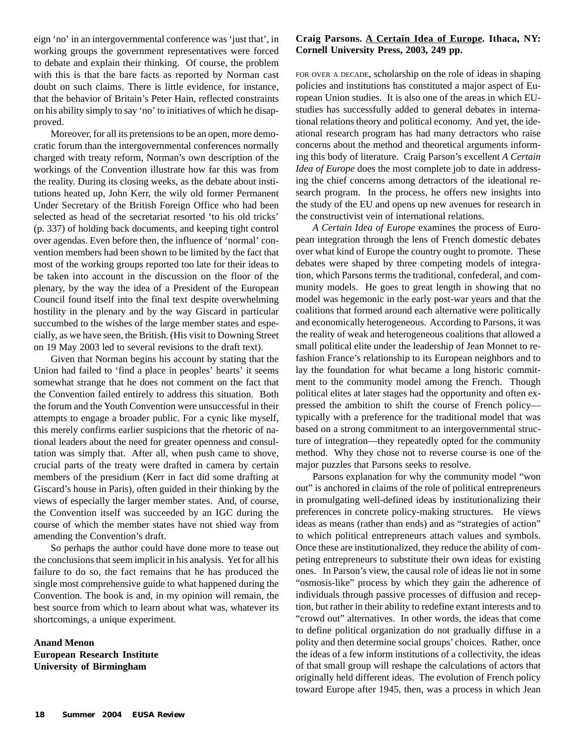eign 'no' in an intergovernmental conference was 'just that', in working groups the government representatives were forced to debate and explain their thinking. Of course, the problem with this is that the bare facts as reported by Norman cast doubt on such claims. There is little evidence, for instance, that the behavior of Britain's Peter Hain, reflected constraints on his ability simply to say 'no' to initiatives of which he disapproved.

Moreover, for all its pretensions to be an open, more democratic forum than the intergovernmental conferences normally charged with treaty reform, Norman's own description of the workings of the Convention illustrate how far this was from the reality. During its closing weeks, as the debate about institutions heated up, John Kerr, the wily old former Permanent Under Secretary of the British Foreign Office who had been selected as head of the secretariat resorted 'to his old tricks' (p. 337) of holding back documents, and keeping tight control over agendas. Even before then, the influence of 'normal' convention members had been shown to be limited by the fact that most of the working groups reported too late for their ideas to be taken into account in the discussion on the floor of the plenary, by the way the idea of a President of the European Council found itself into the final text despite overwhelming hostility in the plenary and by the way Giscard in particular succumbed to the wishes of the large member states and especially, as we have seen, the British. (His visit to Downing Street on 19 May 2003 led to several revisions to the draft text).

Given that Norman begins his account by stating that the Union had failed to 'find a place in peoples' hearts' it seems somewhat strange that he does not comment on the fact that the Convention failed entirely to address this situation. Both the forum and the Youth Convention were unsuccessful in their attempts to engage a broader public. For a cynic like myself, this merely confirms earlier suspicions that the rhetoric of national leaders about the need for greater openness and consultation was simply that. After all, when push came to shove, crucial parts of the treaty were drafted in camera by certain members of the presidium (Kerr in fact did some drafting at Giscard's house in Paris), often guided in their thinking by the views of especially the larger member states. And, of course, the Convention itself was succeeded by an IGC during the course of which the member states have not shied way from amending the Convention's draft.

So perhaps the author could have done more to tease out the conclusions that seem implicit in his analysis. Yet for all his failure to do so, the fact remains that he has produced the single most comprehensive guide to what happened during the Convention. The book is and, in my opinion will remain, the best source from which to learn about what was, whatever its shortcomings, a unique experiment.

## **Anand Menon European Research Institute University of Birmingham**

## **Craig Parsons. A Certain Idea of Europe. Ithaca, NY: Cornell University Press, 2003, 249 pp.**

FOR OVER A DECADE, scholarship on the role of ideas in shaping policies and institutions has constituted a major aspect of European Union studies. It is also one of the areas in which EUstudies has successfully added to general debates in international relations theory and political economy. And yet, the ideational research program has had many detractors who raise concerns about the method and theoretical arguments informing this body of literature. Craig Parson's excellent *A Certain Idea of Europe* does the most complete job to date in addressing the chief concerns among detractors of the ideational research program. In the process, he offers new insights into the study of the EU and opens up new avenues for research in the constructivist vein of international relations.

*A Certain Idea of Europe* examines the process of European integration through the lens of French domestic debates over what kind of Europe the country ought to promote. These debates were shaped by three competing models of integration, which Parsons terms the traditional, confederal, and community models. He goes to great length in showing that no model was hegemonic in the early post-war years and that the coalitions that formed around each alternative were politically and economically heterogeneous. According to Parsons, it was the reality of weak and heterogeneous coalitions that allowed a small political elite under the leadership of Jean Monnet to refashion France's relationship to its European neighbors and to lay the foundation for what became a long historic commitment to the community model among the French. Though political elites at later stages had the opportunity and often expressed the ambition to shift the course of French policy typically with a preference for the traditional model that was based on a strong commitment to an intergovernmental structure of integration—they repeatedly opted for the community method. Why they chose not to reverse course is one of the major puzzles that Parsons seeks to resolve.

Parsons explanation for why the community model "won out" is anchored in claims of the role of political entrepreneurs in promulgating well-defined ideas by institutionalizing their preferences in concrete policy-making structures. He views ideas as means (rather than ends) and as "strategies of action" to which political entrepreneurs attach values and symbols. Once these are institutionalized, they reduce the ability of competing entrepreneurs to substitute their own ideas for existing ones. In Parson's view, the causal role of ideas lie not in some "osmosis-like" process by which they gain the adherence of individuals through passive processes of diffusion and reception, but rather in their ability to redefine extant interests and to "crowd out" alternatives. In other words, the ideas that come to define political organization do not gradually diffuse in a polity and then determine social groups' choices. Rather, once the ideas of a few inform institutions of a collectivity, the ideas of that small group will reshape the calculations of actors that originally held different ideas. The evolution of French policy toward Europe after 1945, then, was a process in which Jean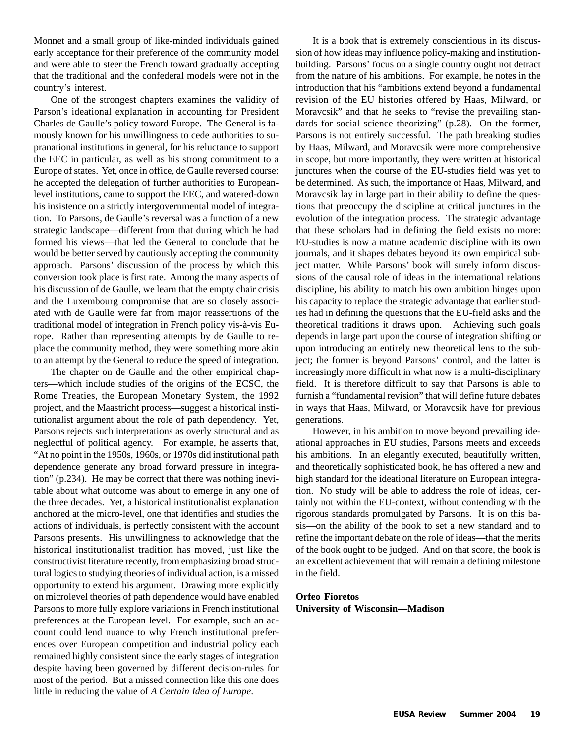Monnet and a small group of like-minded individuals gained early acceptance for their preference of the community model and were able to steer the French toward gradually accepting that the traditional and the confederal models were not in the country's interest.

One of the strongest chapters examines the validity of Parson's ideational explanation in accounting for President Charles de Gaulle's policy toward Europe. The General is famously known for his unwillingness to cede authorities to supranational institutions in general, for his reluctance to support the EEC in particular, as well as his strong commitment to a Europe of states. Yet, once in office, de Gaulle reversed course: he accepted the delegation of further authorities to Europeanlevel institutions, came to support the EEC, and watered-down his insistence on a strictly intergovernmental model of integration. To Parsons, de Gaulle's reversal was a function of a new strategic landscape—different from that during which he had formed his views—that led the General to conclude that he would be better served by cautiously accepting the community approach. Parsons' discussion of the process by which this conversion took place is first rate. Among the many aspects of his discussion of de Gaulle, we learn that the empty chair crisis and the Luxembourg compromise that are so closely associated with de Gaulle were far from major reassertions of the traditional model of integration in French policy vis-à-vis Europe. Rather than representing attempts by de Gaulle to replace the community method, they were something more akin to an attempt by the General to reduce the speed of integration.

The chapter on de Gaulle and the other empirical chapters—which include studies of the origins of the ECSC, the Rome Treaties, the European Monetary System, the 1992 project, and the Maastricht process—suggest a historical institutionalist argument about the role of path dependency. Yet, Parsons rejects such interpretations as overly structural and as neglectful of political agency. For example, he asserts that, "At no point in the 1950s, 1960s, or 1970s did institutional path dependence generate any broad forward pressure in integration" (p.234). He may be correct that there was nothing inevitable about what outcome was about to emerge in any one of the three decades. Yet, a historical institutionalist explanation anchored at the micro-level, one that identifies and studies the actions of individuals, is perfectly consistent with the account Parsons presents. His unwillingness to acknowledge that the historical institutionalist tradition has moved, just like the constructivist literature recently, from emphasizing broad structural logics to studying theories of individual action, is a missed opportunity to extend his argument. Drawing more explicitly on microlevel theories of path dependence would have enabled Parsons to more fully explore variations in French institutional preferences at the European level. For example, such an account could lend nuance to why French institutional preferences over European competition and industrial policy each remained highly consistent since the early stages of integration despite having been governed by different decision-rules for most of the period. But a missed connection like this one does little in reducing the value of *A Certain Idea of Europe*.

It is a book that is extremely conscientious in its discussion of how ideas may influence policy-making and institutionbuilding. Parsons' focus on a single country ought not detract from the nature of his ambitions. For example, he notes in the introduction that his "ambitions extend beyond a fundamental revision of the EU histories offered by Haas, Milward, or Moravcsik" and that he seeks to "revise the prevailing standards for social science theorizing" (p.28). On the former, Parsons is not entirely successful. The path breaking studies by Haas, Milward, and Moravcsik were more comprehensive in scope, but more importantly, they were written at historical junctures when the course of the EU-studies field was yet to be determined. As such, the importance of Haas, Milward, and Moravcsik lay in large part in their ability to define the questions that preoccupy the discipline at critical junctures in the evolution of the integration process. The strategic advantage that these scholars had in defining the field exists no more: EU-studies is now a mature academic discipline with its own journals, and it shapes debates beyond its own empirical subject matter. While Parsons' book will surely inform discussions of the causal role of ideas in the international relations discipline, his ability to match his own ambition hinges upon his capacity to replace the strategic advantage that earlier studies had in defining the questions that the EU-field asks and the theoretical traditions it draws upon. Achieving such goals depends in large part upon the course of integration shifting or upon introducing an entirely new theoretical lens to the subject; the former is beyond Parsons' control, and the latter is increasingly more difficult in what now is a multi-disciplinary field. It is therefore difficult to say that Parsons is able to furnish a "fundamental revision" that will define future debates in ways that Haas, Milward, or Moravcsik have for previous generations.

However, in his ambition to move beyond prevailing ideational approaches in EU studies, Parsons meets and exceeds his ambitions. In an elegantly executed, beautifully written, and theoretically sophisticated book, he has offered a new and high standard for the ideational literature on European integration. No study will be able to address the role of ideas, certainly not within the EU-context, without contending with the rigorous standards promulgated by Parsons. It is on this basis—on the ability of the book to set a new standard and to refine the important debate on the role of ideas—that the merits of the book ought to be judged. And on that score, the book is an excellent achievement that will remain a defining milestone in the field.

## **Orfeo Fioretos University of Wisconsin—Madison**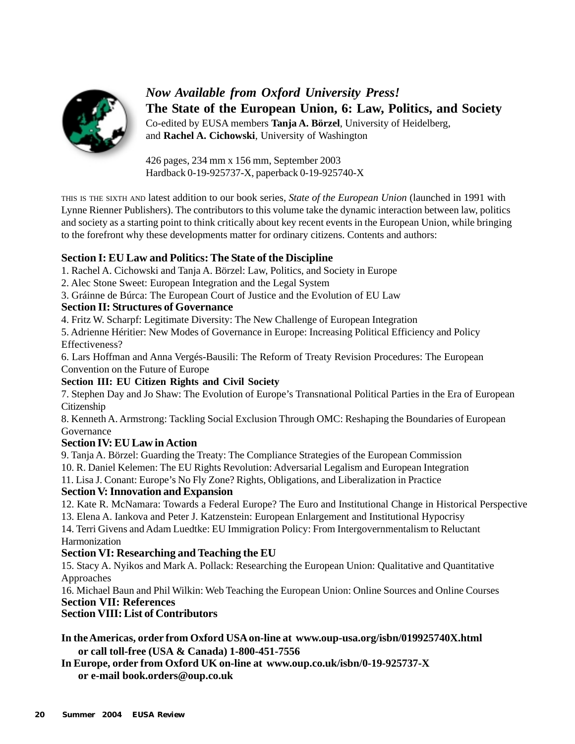

*Now Available from Oxford University Press!* **The State of the European Union, 6: Law, Politics, and Society** Co-edited by EUSA members **Tanja A. Börzel**, University of Heidelberg, and **Rachel A. Cichowski**, University of Washington

426 pages, 234 mm x 156 mm, September 2003 Hardback 0-19-925737-X, paperback 0-19-925740-X

THIS IS THE SIXTH AND latest addition to our book series, *State of the European Union* (launched in 1991 with Lynne Rienner Publishers). The contributors to this volume take the dynamic interaction between law, politics and society as a starting point to think critically about key recent events in the European Union, while bringing to the forefront why these developments matter for ordinary citizens. Contents and authors:

# **Section I: EU Law and Politics: The State of the Discipline**

1. Rachel A. Cichowski and Tanja A. Börzel: Law, Politics, and Society in Europe

- 2. Alec Stone Sweet: European Integration and the Legal System
- 3. Gráinne de Búrca: The European Court of Justice and the Evolution of EU Law

# **Section II: Structures of Governance**

4. Fritz W. Scharpf: Legitimate Diversity: The New Challenge of European Integration

5. Adrienne Héritier: New Modes of Governance in Europe: Increasing Political Efficiency and Policy Effectiveness?

6. Lars Hoffman and Anna Vergés-Bausili: The Reform of Treaty Revision Procedures: The European Convention on the Future of Europe

# **Section III: EU Citizen Rights and Civil Society**

7. Stephen Day and Jo Shaw: The Evolution of Europe's Transnational Political Parties in the Era of European Citizenship

8. Kenneth A. Armstrong: Tackling Social Exclusion Through OMC: Reshaping the Boundaries of European Governance

# **Section IV: EU Law in Action**

9. Tanja A. Börzel: Guarding the Treaty: The Compliance Strategies of the European Commission

10. R. Daniel Kelemen: The EU Rights Revolution: Adversarial Legalism and European Integration

11. Lisa J. Conant: Europe's No Fly Zone? Rights, Obligations, and Liberalization in Practice

# **Section V: Innovation and Expansion**

12. Kate R. McNamara: Towards a Federal Europe? The Euro and Institutional Change in Historical Perspective 13. Elena A. Iankova and Peter J. Katzenstein: European Enlargement and Institutional Hypocrisy

14. Terri Givens and Adam Luedtke: EU Immigration Policy: From Intergovernmentalism to Reluctant Harmonization

# **Section VI: Researching and Teaching the EU**

15. Stacy A. Nyikos and Mark A. Pollack: Researching the European Union: Qualitative and Quantitative Approaches

16. Michael Baun and Phil Wilkin: Web Teaching the European Union: Online Sources and Online Courses **Section VII: References**

# **Section VIII: List of Contributors**

**In the Americas, order from Oxford USA on-line at www.oup-usa.org/isbn/019925740X.html or call toll-free (USA & Canada) 1-800-451-7556**

**In Europe, order from Oxford UK on-line at www.oup.co.uk/isbn/0-19-925737-X or e-mail book.orders@oup.co.uk**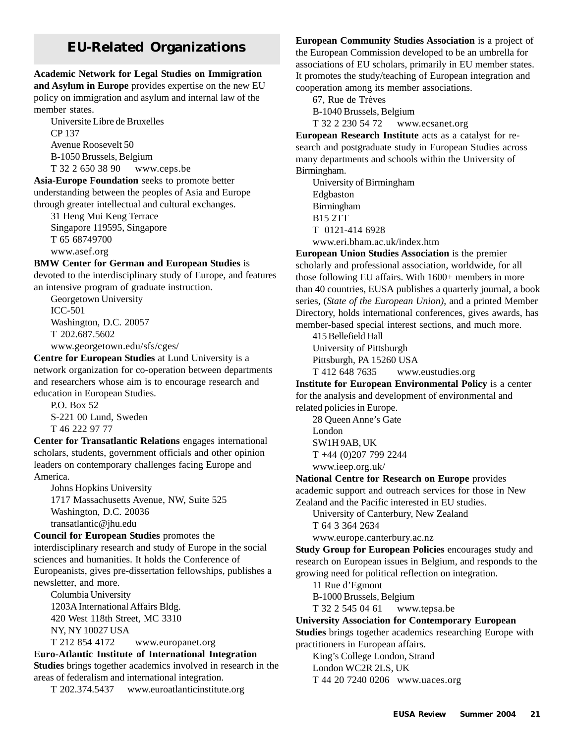# **EU-Related Organizations**

# **Academic Network for Legal Studies on Immigration and Asylum in Europe** provides expertise on the new EU

policy on immigration and asylum and internal law of the member states. Universite Libre de Bruxelles

CP 137 Avenue Roosevelt 50 B-1050 Brussels, Belgium T 32 2 650 38 90 www.ceps.be

**Asia-Europe Foundation** seeks to promote better understanding between the peoples of Asia and Europe through greater intellectual and cultural exchanges.

31 Heng Mui Keng Terrace Singapore 119595, Singapore T 65 68749700 www.asef.org

**BMW Center for German and European Studies** is devoted to the interdisciplinary study of Europe, and features

an intensive program of graduate instruction. Georgetown University ICC-501 Washington, D.C. 20057

T 202.687.5602

www.georgetown.edu/sfs/cges/

**Centre for European Studies** at Lund University is a network organization for co-operation between departments and researchers whose aim is to encourage research and education in European Studies.

P.O. Box 52 S-221 00 Lund, Sweden T 46 222 97 77

**Center for Transatlantic Relations** engages international scholars, students, government officials and other opinion leaders on contemporary challenges facing Europe and America.

Johns Hopkins University 1717 Massachusetts Avenue, NW, Suite 525 Washington, D.C. 20036 transatlantic@jhu.edu

**Council for European Studies** promotes the interdisciplinary research and study of Europe in the social sciences and humanities. It holds the Conference of Europeanists, gives pre-dissertation fellowships, publishes a newsletter, and more.

Columbia University 1203A International Affairs Bldg. 420 West 118th Street, MC 3310 NY, NY 10027 USA

T 212 854 4172 www.europanet.org

**Euro-Atlantic Institute of International Integration**

**Studies** brings together academics involved in research in the areas of federalism and international integration.

T 202.374.5437 www.euroatlanticinstitute.org

**European Community Studies Association** is a project of the European Commission developed to be an umbrella for associations of EU scholars, primarily in EU member states. It promotes the study/teaching of European integration and cooperation among its member associations.

67, Rue de Trèves B-1040 Brussels, Belgium T 32 2 230 54 72 www.ecsanet.org

**European Research Institute** acts as a catalyst for research and postgraduate study in European Studies across many departments and schools within the University of Birmingham.

University of Birmingham Edgbaston Birmingham B15 2TT T 0121-414 6928 www.eri.bham.ac.uk/index.htm

**European Union Studies Association** is the premier scholarly and professional association, worldwide, for all those following EU affairs. With 1600+ members in more than 40 countries, EUSA publishes a quarterly journal, a book series, (*State of the European Union)*, and a printed Member Directory, holds international conferences, gives awards, has member-based special interest sections, and much more.

415 Bellefield Hall University of Pittsburgh Pittsburgh, PA 15260 USA

T 412 648 7635 www.eustudies.org

**Institute for European Environmental Policy** is a center for the analysis and development of environmental and related policies in Europe.

28 Queen Anne's Gate London SW1H 9AB, UK T +44 (0)207 799 2244 www.ieep.org.uk/

**National Centre for Research on Europe** provides academic support and outreach services for those in New

Zealand and the Pacific interested in EU studies. University of Canterbury, New Zealand T 64 3 364 2634

www.europe.canterbury.ac.nz

**Study Group for European Policies** encourages study and research on European issues in Belgium, and responds to the growing need for political reflection on integration.

11 Rue d'Egmont

B-1000 Brussels, Belgium

T 32 2 545 04 61 www.tepsa.be

**University Association for Contemporary European**

**Studies** brings together academics researching Europe with practitioners in European affairs.

King's College London, Strand London WC2R 2LS, UK T 44 20 7240 0206 www.uaces.org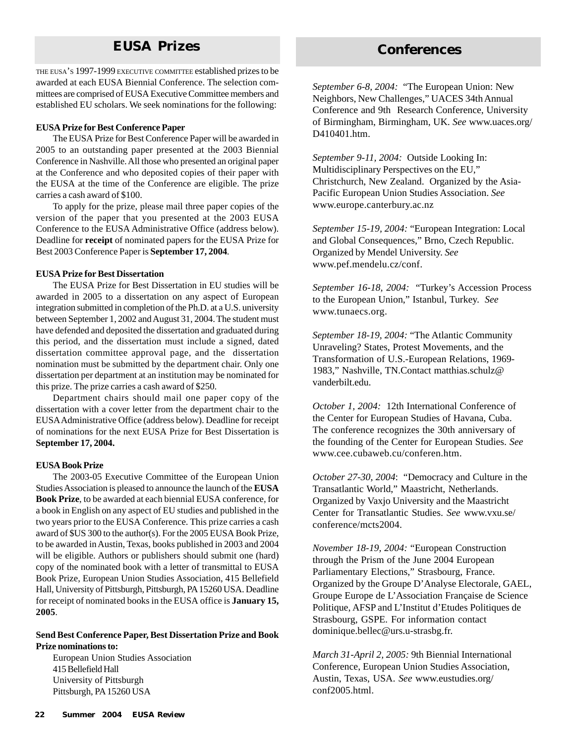# **EUSA Prizes Conferences**

THE EUSA'S 1997-1999 EXECUTIVE COMMITTEE established prizes to be awarded at each EUSA Biennial Conference. The selection committees are comprised of EUSA Executive Committee members and established EU scholars. We seek nominations for the following:

#### **EUSA Prize for Best Conference Paper**

The EUSA Prize for Best Conference Paper will be awarded in 2005 to an outstanding paper presented at the 2003 Biennial Conference in Nashville. All those who presented an original paper at the Conference and who deposited copies of their paper with the EUSA at the time of the Conference are eligible. The prize carries a cash award of \$100.

To apply for the prize, please mail three paper copies of the version of the paper that you presented at the 2003 EUSA Conference to the EUSA Administrative Office (address below). Deadline for **receipt** of nominated papers for the EUSA Prize for Best 2003 Conference Paper is **September 17, 2004***.*

#### **EUSA Prize for Best Dissertation**

The EUSA Prize for Best Dissertation in EU studies will be awarded in 2005 to a dissertation on any aspect of European integration submitted in completion of the Ph.D. at a U.S. university between September 1, 2002 and August 31, 2004. The student must have defended and deposited the dissertation and graduated during this period, and the dissertation must include a signed, dated dissertation committee approval page, and the dissertation nomination must be submitted by the department chair. Only one dissertation per department at an institution may be nominated for this prize. The prize carries a cash award of \$250.

Department chairs should mail one paper copy of the dissertation with a cover letter from the department chair to the EUSA Administrative Office (address below). Deadline for receipt of nominations for the next EUSA Prize for Best Dissertation is **September 17, 2004.**

#### **EUSA Book Prize**

The 2003-05 Executive Committee of the European Union Studies Association is pleased to announce the launch of the **EUSA Book Prize**, to be awarded at each biennial EUSA conference, for a book in English on any aspect of EU studies and published in the two years prior to the EUSA Conference. This prize carries a cash award of \$US 300 to the author(s). For the 2005 EUSA Book Prize, to be awarded in Austin, Texas, books published in 2003 and 2004 will be eligible. Authors or publishers should submit one (hard) copy of the nominated book with a letter of transmittal to EUSA Book Prize, European Union Studies Association, 415 Bellefield Hall, University of Pittsburgh, Pittsburgh, PA 15260 USA. Deadline for receipt of nominated books in the EUSA office is **January 15, 2005***.*

#### **Send Best Conference Paper, Best Dissertation Prize and Book Prize nominations to:**

European Union Studies Association 415 Bellefield Hall University of Pittsburgh Pittsburgh, PA 15260 USA

*September 6-8, 2004:* "The European Union: New Neighbors, New Challenges," UACES 34th Annual Conference and 9th Research Conference, University of Birmingham, Birmingham, UK. *See* www.uaces.org/ D410401.htm.

*September 9-11, 2004:* Outside Looking In: Multidisciplinary Perspectives on the EU," Christchurch, New Zealand. Organized by the Asia-Pacific European Union Studies Association. *See* www.europe.canterbury.ac.nz

*September 15-19, 2004:* "European Integration: Local and Global Consequences," Brno, Czech Republic. Organized by Mendel University. *See* www.pef.mendelu.cz/conf.

*September 16-18, 2004:* "Turkey's Accession Process to the European Union," Istanbul, Turkey. *See* www.tunaecs.org.

*September 18-19, 2004:* "The Atlantic Community Unraveling? States, Protest Movements, and the Transformation of U.S.-European Relations, 1969- 1983," Nashville, TN.Contact matthias.schulz@ vanderbilt.edu.

*October 1, 2004:* 12th International Conference of the Center for European Studies of Havana, Cuba. The conference recognizes the 30th anniversary of the founding of the Center for European Studies. *See* www.cee.cubaweb.cu/conferen.htm.

*October 27-30, 2004*: "Democracy and Culture in the Transatlantic World," Maastricht, Netherlands. Organized by Vaxjo University and the Maastricht Center for Transatlantic Studies. *See* www.vxu.se/ conference/mcts2004.

*November 18-19, 2004:* "European Construction through the Prism of the June 2004 European Parliamentary Elections," Strasbourg, France. Organized by the Groupe D'Analyse Electorale, GAEL, Groupe Europe de L'Association Française de Science Politique, AFSP and L'Institut d'Etudes Politiques de Strasbourg, GSPE. For information contact dominique.bellec@urs.u-strasbg.fr.

*March 31-April 2, 2005:* 9th Biennial International Conference, European Union Studies Association, Austin, Texas, USA. *See* www.eustudies.org/ conf2005.html.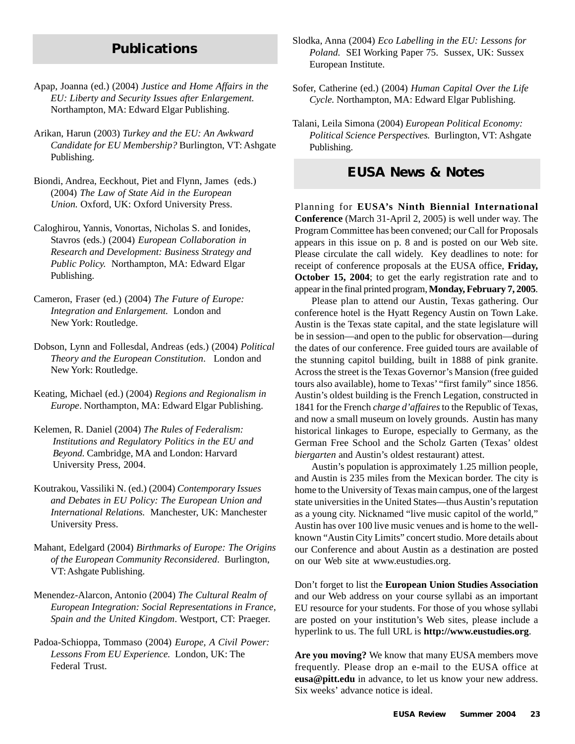# **Publications**

- Apap, Joanna (ed.) (2004) *Justice and Home Affairs in the EU: Liberty and Security Issues after Enlargement.* Northampton, MA: Edward Elgar Publishing.
- Arikan, Harun (2003) *Turkey and the EU: An Awkward Candidate for EU Membership?* Burlington, VT: Ashgate Publishing.
- Biondi, Andrea, Eeckhout, Piet and Flynn, James (eds.) (2004) *The Law of State Aid in the European Union.* Oxford, UK: Oxford University Press.
- Caloghirou, Yannis, Vonortas, Nicholas S. and Ionides, Stavros (eds.) (2004) *European Collaboration in Research and Development: Business Strategy and Public Policy.* Northampton, MA: Edward Elgar Publishing.
- Cameron, Fraser (ed.) (2004) *The Future of Europe: Integration and Enlargement.* London and New York: Routledge.
- Dobson, Lynn and Follesdal, Andreas (eds.) (2004) *Political Theory and the European Constitution*. London and New York: Routledge.
- Keating, Michael (ed.) (2004) *Regions and Regionalism in Europe*. Northampton, MA: Edward Elgar Publishing.
- Kelemen, R. Daniel (2004) *The Rules of Federalism: Institutions and Regulatory Politics in the EU and Beyond.* Cambridge, MA and London: Harvard University Press, 2004.
- Koutrakou, Vassiliki N. (ed.) (2004) *Contemporary Issues and Debates in EU Policy: The European Union and International Relations.* Manchester, UK: Manchester University Press.
- Mahant, Edelgard (2004) *Birthmarks of Europe: The Origins of the European Community Reconsidered*. Burlington, VT: Ashgate Publishing.
- Menendez-Alarcon, Antonio (2004) *The Cultural Realm of European Integration: Social Representations in France, Spain and the United Kingdom*. Westport, CT: Praeger.
- Padoa-Schioppa, Tommaso (2004) *Europe, A Civil Power: Lessons From EU Experience.* London, UK: The Federal Trust.
- Slodka, Anna (2004) *Eco Labelling in the EU: Lessons for Poland.* SEI Working Paper 75. Sussex, UK: Sussex European Institute.
- Sofer, Catherine (ed.) (2004) *Human Capital Over the Life Cycle.* Northampton, MA: Edward Elgar Publishing.
- Talani, Leila Simona (2004) *European Political Economy: Political Science Perspectives.* Burlington, VT: Ashgate Publishing.

# **EUSA News & Notes**

Planning for **EUSA's Ninth Biennial International Conference** (March 31-April 2, 2005) is well under way. The Program Committee has been convened; our Call for Proposals appears in this issue on p. 8 and is posted on our Web site. Please circulate the call widely. Key deadlines to note: for receipt of conference proposals at the EUSA office, **Friday, October 15, 2004**; to get the early registration rate and to appear in the final printed program, **Monday, February 7, 2005**.

Please plan to attend our Austin, Texas gathering. Our conference hotel is the Hyatt Regency Austin on Town Lake. Austin is the Texas state capital, and the state legislature will be in session—and open to the public for observation—during the dates of our conference. Free guided tours are available of the stunning capitol building, built in 1888 of pink granite. Across the street is the Texas Governor's Mansion (free guided tours also available), home to Texas' "first family" since 1856. Austin's oldest building is the French Legation, constructed in 1841 for the French *charge d'affaires* to the Republic of Texas, and now a small museum on lovely grounds. Austin has many historical linkages to Europe, especially to Germany, as the German Free School and the Scholz Garten (Texas' oldest *biergarten* and Austin's oldest restaurant) attest.

Austin's population is approximately 1.25 million people, and Austin is 235 miles from the Mexican border. The city is home to the University of Texas main campus, one of the largest state universities in the United States—thus Austin's reputation as a young city. Nicknamed "live music capitol of the world," Austin has over 100 live music venues and is home to the wellknown "Austin City Limits" concert studio. More details about our Conference and about Austin as a destination are posted on our Web site at www.eustudies.org.

Don't forget to list the **European Union Studies Association** and our Web address on your course syllabi as an important EU resource for your students. For those of you whose syllabi are posted on your institution's Web sites, please include a hyperlink to us. The full URL is **http://www.eustudies.org**.

**Are you moving?** We know that many EUSA members move frequently. Please drop an e-mail to the EUSA office at **eusa@pitt.edu** in advance, to let us know your new address. Six weeks' advance notice is ideal.